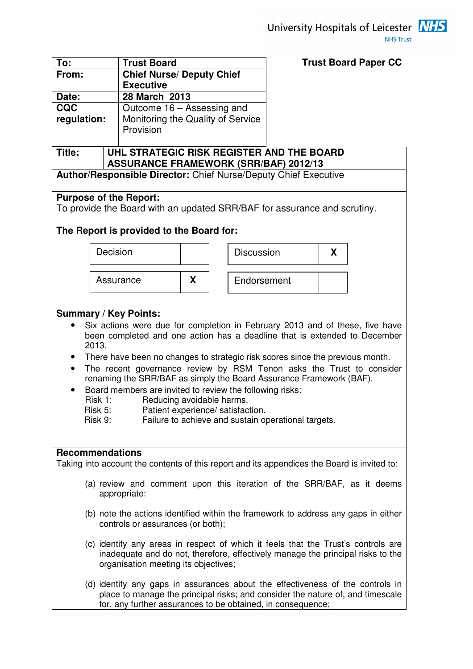

**Trust Board Paper CC** 

| From:                                                                                                                      | <b>Chief Nurse/ Deputy Chief</b><br><b>Executive</b>                                                                    |                                                                                                                                                                                                                                                                                                                                                                                                                                                                                                                         |   |  |                   |                                                     |   |  |
|----------------------------------------------------------------------------------------------------------------------------|-------------------------------------------------------------------------------------------------------------------------|-------------------------------------------------------------------------------------------------------------------------------------------------------------------------------------------------------------------------------------------------------------------------------------------------------------------------------------------------------------------------------------------------------------------------------------------------------------------------------------------------------------------------|---|--|-------------------|-----------------------------------------------------|---|--|
| Date:                                                                                                                      |                                                                                                                         | 28 March 2013                                                                                                                                                                                                                                                                                                                                                                                                                                                                                                           |   |  |                   |                                                     |   |  |
| <b>CQC</b>                                                                                                                 |                                                                                                                         | Outcome 16 - Assessing and                                                                                                                                                                                                                                                                                                                                                                                                                                                                                              |   |  |                   |                                                     |   |  |
| regulation:                                                                                                                |                                                                                                                         | Monitoring the Quality of Service                                                                                                                                                                                                                                                                                                                                                                                                                                                                                       |   |  |                   |                                                     |   |  |
|                                                                                                                            | Provision                                                                                                               |                                                                                                                                                                                                                                                                                                                                                                                                                                                                                                                         |   |  |                   |                                                     |   |  |
| Title:                                                                                                                     |                                                                                                                         | UHL STRATEGIC RISK REGISTER AND THE BOARD                                                                                                                                                                                                                                                                                                                                                                                                                                                                               |   |  |                   |                                                     |   |  |
|                                                                                                                            |                                                                                                                         | <b>ASSURANCE FRAMEWORK (SRR/BAF) 2012/13</b>                                                                                                                                                                                                                                                                                                                                                                                                                                                                            |   |  |                   |                                                     |   |  |
|                                                                                                                            |                                                                                                                         | <b>Author/Responsible Director: Chief Nurse/Deputy Chief Executive</b>                                                                                                                                                                                                                                                                                                                                                                                                                                                  |   |  |                   |                                                     |   |  |
| <b>Purpose of the Report:</b>                                                                                              |                                                                                                                         | To provide the Board with an updated SRR/BAF for assurance and scrutiny.                                                                                                                                                                                                                                                                                                                                                                                                                                                |   |  |                   |                                                     |   |  |
|                                                                                                                            |                                                                                                                         | The Report is provided to the Board for:                                                                                                                                                                                                                                                                                                                                                                                                                                                                                |   |  |                   |                                                     |   |  |
|                                                                                                                            | Decision                                                                                                                |                                                                                                                                                                                                                                                                                                                                                                                                                                                                                                                         |   |  | <b>Discussion</b> |                                                     | X |  |
|                                                                                                                            |                                                                                                                         | Assurance                                                                                                                                                                                                                                                                                                                                                                                                                                                                                                               | X |  | Endorsement       |                                                     |   |  |
|                                                                                                                            |                                                                                                                         |                                                                                                                                                                                                                                                                                                                                                                                                                                                                                                                         |   |  |                   |                                                     |   |  |
| <b>Summary / Key Points:</b><br>2013.<br>$\bullet$<br>$\bullet$<br>Risk 1:<br>Risk 5:<br>Risk 9:<br><b>Recommendations</b> |                                                                                                                         | Six actions were due for completion in February 2013 and of these, five have<br>been completed and one action has a deadline that is extended to December<br>There have been no changes to strategic risk scores since the previous month.<br>The recent governance review by RSM Tenon asks the Trust to consider<br>renaming the SRR/BAF as simply the Board Assurance Framework (BAF).<br>Board members are invited to review the following risks:<br>Reducing avoidable harms.<br>Patient experience/ satisfaction. |   |  |                   | Failure to achieve and sustain operational targets. |   |  |
|                                                                                                                            |                                                                                                                         | Taking into account the contents of this report and its appendices the Board is invited to:                                                                                                                                                                                                                                                                                                                                                                                                                             |   |  |                   |                                                     |   |  |
|                                                                                                                            |                                                                                                                         | (a) review and comment upon this iteration of the SRR/BAF, as it deems<br>appropriate:                                                                                                                                                                                                                                                                                                                                                                                                                                  |   |  |                   |                                                     |   |  |
|                                                                                                                            | (b) note the actions identified within the framework to address any gaps in either<br>controls or assurances (or both); |                                                                                                                                                                                                                                                                                                                                                                                                                                                                                                                         |   |  |                   |                                                     |   |  |
|                                                                                                                            |                                                                                                                         | (c) identify any areas in respect of which it feels that the Trust's controls are<br>inadequate and do not, therefore, effectively manage the principal risks to the<br>organisation meeting its objectives;                                                                                                                                                                                                                                                                                                            |   |  |                   |                                                     |   |  |
|                                                                                                                            |                                                                                                                         | (d) identify any gaps in assurances about the effectiveness of the controls in<br>place to manage the principal risks; and consider the nature of, and timescale<br>for, any further assurances to be obtained, in consequence;                                                                                                                                                                                                                                                                                         |   |  |                   |                                                     |   |  |

**To: Trust Board**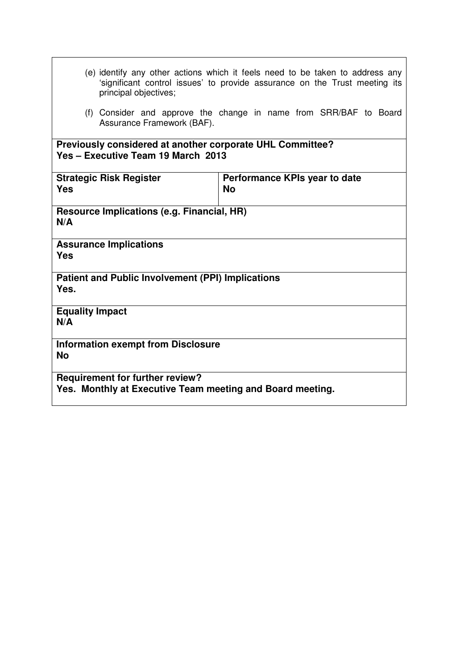| (e) identify any other actions which it feels need to be taken to address any |                                                                            |
|-------------------------------------------------------------------------------|----------------------------------------------------------------------------|
|                                                                               | 'significant control issues' to provide assurance on the Trust meeting its |
| principal objectives;                                                         |                                                                            |

(f) Consider and approve the change in name from SRR/BAF to Board Assurance Framework (BAF).

**Previously considered at another corporate UHL Committee? Yes – Executive Team 19 March 2013** 

| <b>Strategic Risk Register</b><br><b>Yes</b>                                                        | Performance KPIs year to date<br><b>No</b> |
|-----------------------------------------------------------------------------------------------------|--------------------------------------------|
| Resource Implications (e.g. Financial, HR)<br>N/A                                                   |                                            |
| <b>Assurance Implications</b><br><b>Yes</b>                                                         |                                            |
| <b>Patient and Public Involvement (PPI) Implications</b><br>Yes.                                    |                                            |
| <b>Equality Impact</b><br>N/A                                                                       |                                            |
| <b>Information exempt from Disclosure</b><br><b>No</b>                                              |                                            |
| <b>Requirement for further review?</b><br>Yes. Monthly at Executive Team meeting and Board meeting. |                                            |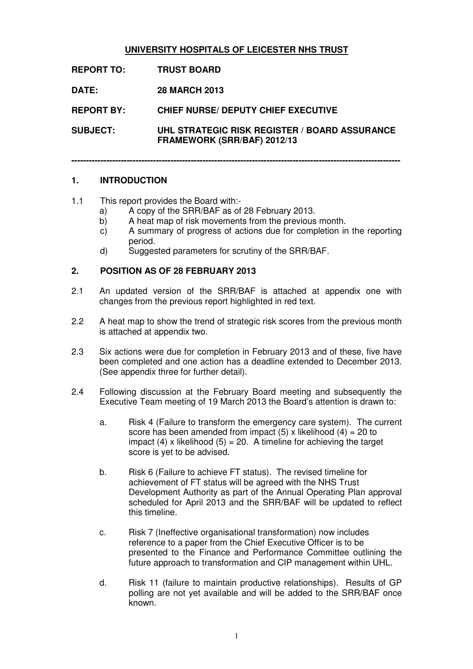#### **UNIVERSITY HOSPITALS OF LEICESTER NHS TRUST**

- **REPORT TO: TRUST BOARD**
- **DATE: 28 MARCH 2013**

**REPORT BY: CHIEF NURSE/ DEPUTY CHIEF EXECUTIVE** 

**SUBJECT: UHL STRATEGIC RISK REGISTER / BOARD ASSURANCE FRAMEWORK (SRR/BAF) 2012/13** 

**-----------------------------------------------------------------------------------------------------------------** 

#### **1. INTRODUCTION**

- 1.1 This report provides the Board with:
	- a) A copy of the SRR/BAF as of 28 February 2013.
	- b) A heat map of risk movements from the previous month.
	- c) A summary of progress of actions due for completion in the reporting period.
	- d) Suggested parameters for scrutiny of the SRR/BAF.

#### **2. POSITION AS OF 28 FEBRUARY 2013**

- 2.1 An updated version of the SRR/BAF is attached at appendix one with changes from the previous report highlighted in red text.
- 2.2 A heat map to show the trend of strategic risk scores from the previous month is attached at appendix two.
- 2.3 Six actions were due for completion in February 2013 and of these, five have been completed and one action has a deadline extended to December 2013. (See appendix three for further detail).
- 2.4 Following discussion at the February Board meeting and subsequently the Executive Team meeting of 19 March 2013 the Board's attention is drawn to:
	- a. Risk 4 (Failure to transform the emergency care system). The current score has been amended from impact (5) x likelihood (4) = 20 to impact (4) x likelihood (5) = 20. A timeline for achieving the target score is yet to be advised.
	- b. Risk 6 (Failure to achieve FT status). The revised timeline for achievement of FT status will be agreed with the NHS Trust Development Authority as part of the Annual Operating Plan approval scheduled for April 2013 and the SRR/BAF will be updated to reflect this timeline.
	- c. Risk 7 (Ineffective organisational transformation) now includes reference to a paper from the Chief Executive Officer is to be presented to the Finance and Performance Committee outlining the future approach to transformation and CIP management within UHL.
	- d. Risk 11 (failure to maintain productive relationships). Results of GP polling are not yet available and will be added to the SRR/BAF once known.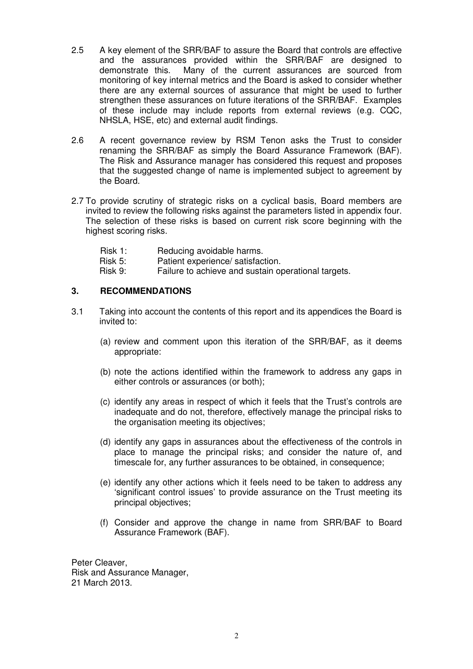- 2.5 A key element of the SRR/BAF to assure the Board that controls are effective and the assurances provided within the SRR/BAF are designed to demonstrate this. Many of the current assurances are sourced from monitoring of key internal metrics and the Board is asked to consider whether there are any external sources of assurance that might be used to further strengthen these assurances on future iterations of the SRR/BAF. Examples of these include may include reports from external reviews (e.g. CQC, NHSLA, HSE, etc) and external audit findings.
- 2.6 A recent governance review by RSM Tenon asks the Trust to consider renaming the SRR/BAF as simply the Board Assurance Framework (BAF). The Risk and Assurance manager has considered this request and proposes that the suggested change of name is implemented subject to agreement by the Board.
- 2.7 To provide scrutiny of strategic risks on a cyclical basis, Board members are invited to review the following risks against the parameters listed in appendix four. The selection of these risks is based on current risk score beginning with the highest scoring risks.
	- Risk 1: Reducing avoidable harms.
	- Risk 5: Patient experience/ satisfaction.
	- Risk 9: Failure to achieve and sustain operational targets.

#### **3. RECOMMENDATIONS**

- 3.1 Taking into account the contents of this report and its appendices the Board is invited to:
	- (a) review and comment upon this iteration of the SRR/BAF, as it deems appropriate:
	- (b) note the actions identified within the framework to address any gaps in either controls or assurances (or both);
	- (c) identify any areas in respect of which it feels that the Trust's controls are inadequate and do not, therefore, effectively manage the principal risks to the organisation meeting its objectives;
	- (d) identify any gaps in assurances about the effectiveness of the controls in place to manage the principal risks; and consider the nature of, and timescale for, any further assurances to be obtained, in consequence;
	- (e) identify any other actions which it feels need to be taken to address any 'significant control issues' to provide assurance on the Trust meeting its principal objectives;
	- (f) Consider and approve the change in name from SRR/BAF to Board Assurance Framework (BAF).

Peter Cleaver, Risk and Assurance Manager, 21 March 2013.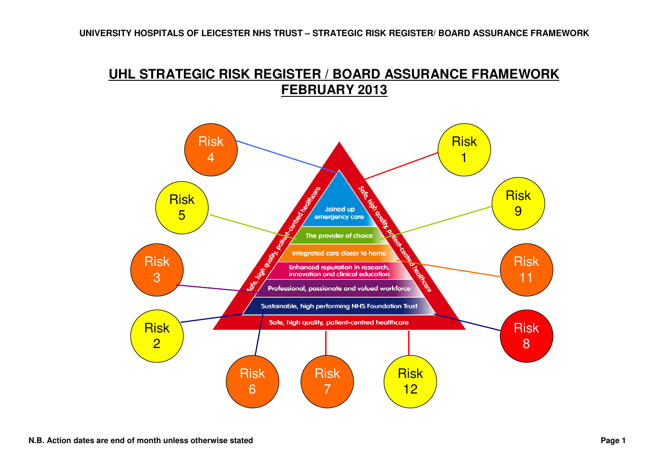# **UHL STRATEGIC RISK REGISTER / BOARD ASSURANCE FRAMEWORK FEBRUARY 2013**

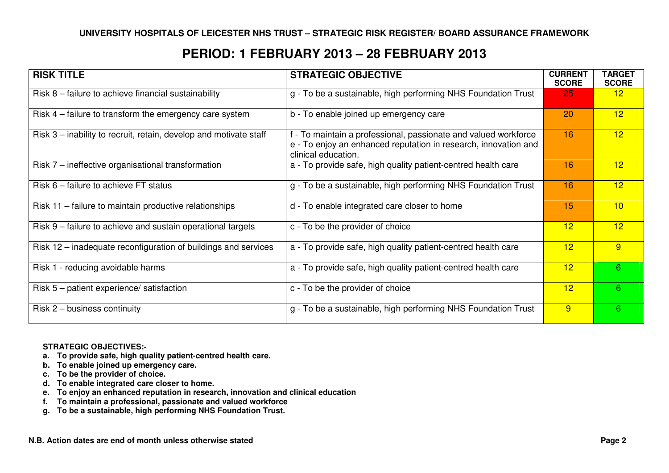## **PERIOD: 1 FEBRUARY 2013 – 28 FEBRUARY 2013**

| <b>RISK TITLE</b>                                                 | <b>STRATEGIC OBJECTIVE</b>                                                                                                                                | <b>CURRENT</b><br><b>SCORE</b> | <b>TARGET</b><br><b>SCORE</b> |
|-------------------------------------------------------------------|-----------------------------------------------------------------------------------------------------------------------------------------------------------|--------------------------------|-------------------------------|
| Risk 8 – failure to achieve financial sustainability              | g - To be a sustainable, high performing NHS Foundation Trust                                                                                             | 25                             | 12 <sub>1</sub>               |
| Risk 4 – failure to transform the emergency care system           | b - To enable joined up emergency care                                                                                                                    | 20                             | 12 <sub>2</sub>               |
| Risk 3 - inability to recruit, retain, develop and motivate staff | f - To maintain a professional, passionate and valued workforce<br>e - To enjoy an enhanced reputation in research, innovation and<br>clinical education. | 16                             | 12 <sub>2</sub>               |
| Risk 7 – ineffective organisational transformation                | a - To provide safe, high quality patient-centred health care                                                                                             | 16                             | 12 <sub>2</sub>               |
| Risk 6 – failure to achieve FT status                             | g - To be a sustainable, high performing NHS Foundation Trust                                                                                             | 16                             | 12 <sub>2</sub>               |
| Risk 11 - failure to maintain productive relationships            | d - To enable integrated care closer to home                                                                                                              | 15                             | 10                            |
| Risk 9 – failure to achieve and sustain operational targets       | c - To be the provider of choice                                                                                                                          | 12 <sup>2</sup>                | 12 <sup>2</sup>               |
| Risk 12 – inadequate reconfiguration of buildings and services    | a - To provide safe, high quality patient-centred health care                                                                                             | 12                             | 9                             |
| Risk 1 - reducing avoidable harms                                 | a - To provide safe, high quality patient-centred health care                                                                                             | 12                             | 6                             |
| Risk 5 – patient experience/ satisfaction                         | c - To be the provider of choice                                                                                                                          | 12 <sub>2</sub>                | 6 <sup>°</sup>                |
| Risk $2$ – business continuity                                    | g - To be a sustainable, high performing NHS Foundation Trust                                                                                             | 9                              | 6                             |

#### **STRATEGIC OBJECTIVES:-**

- **a. To provide safe, high quality patient-centred health care.**
- **b. To enable joined up emergency care.**
- **c. To be the provider of choice.**
- **d. To enable integrated care closer to home.**
- **e. To enjoy an enhanced reputation in research, innovation and clinical education**
- **f. To maintain a professional, passionate and valued workforce**
- **g. To be a sustainable, high performing NHS Foundation Trust.**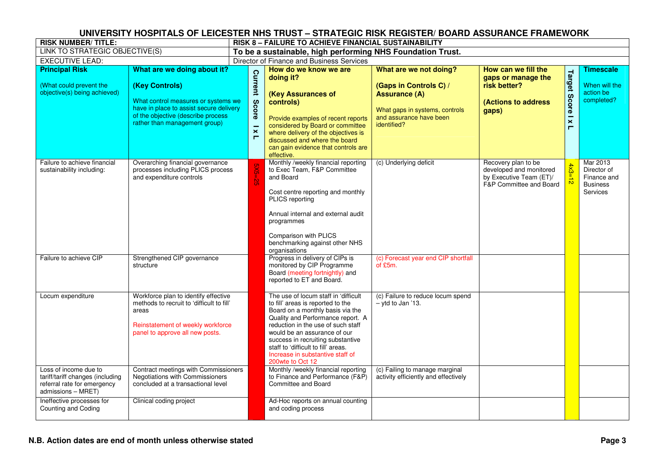| <b>RISK NUMBER/TITLE:</b>                                                                                      |                                                                                                                                                                                                        |                                                             | <b>RISK 8 – FAILURE TO ACHIEVE FINANCIAL SUSTAINABILITY</b>                                                                                                                                                                                                                                                                                                  |                                                                                                                                                      |                                                                                                      |                                                                    |                                                                       |  |  |  |
|----------------------------------------------------------------------------------------------------------------|--------------------------------------------------------------------------------------------------------------------------------------------------------------------------------------------------------|-------------------------------------------------------------|--------------------------------------------------------------------------------------------------------------------------------------------------------------------------------------------------------------------------------------------------------------------------------------------------------------------------------------------------------------|------------------------------------------------------------------------------------------------------------------------------------------------------|------------------------------------------------------------------------------------------------------|--------------------------------------------------------------------|-----------------------------------------------------------------------|--|--|--|
| LINK TO STRATEGIC OBJECTIVE(S)                                                                                 |                                                                                                                                                                                                        | To be a sustainable, high performing NHS Foundation Trust.  |                                                                                                                                                                                                                                                                                                                                                              |                                                                                                                                                      |                                                                                                      |                                                                    |                                                                       |  |  |  |
| <b>EXECUTIVE LEAD:</b>                                                                                         |                                                                                                                                                                                                        |                                                             | Director of Finance and Business Services                                                                                                                                                                                                                                                                                                                    |                                                                                                                                                      |                                                                                                      |                                                                    |                                                                       |  |  |  |
| <b>Principal Risk</b><br>(What could prevent the<br>objective(s) being achieved)                               | What are we doing about it?<br>(Key Controls)<br>What control measures or systems we<br>have in place to assist secure delivery<br>of the objective (describe process<br>rather than management group) | Current<br>Score<br>$\boldsymbol{\times}$<br>$\blacksquare$ | How do we know we are<br>doing it?<br>(Key Assurances of<br>controls)<br>Provide examples of recent reports<br>considered by Board or committee<br>where delivery of the objectives is<br>discussed and where the board<br>can gain evidence that controls are<br>effective.                                                                                 | What are we not doing?<br>(Gaps in Controls C) /<br><b>Assurance (A)</b><br>What gaps in systems, controls<br>and assurance have been<br>identified? | How can we fill the<br>gaps or manage the<br>risk better?<br><b>(Actions to address</b><br>gaps)     | Target<br>Score<br>$\overline{\phantom{0}}$<br>$\pmb{\times}$<br>Е | <b>Timescale</b><br>When will the<br>action be<br>completed?          |  |  |  |
| Failure to achieve financial<br>sustainability including:                                                      | Overarching financial governance<br>processes including PLICS process<br>and expenditure controls                                                                                                      |                                                             | Monthly /weekly financial reporting<br>to Exec Team, F&P Committee<br>and Board<br>Cost centre reporting and monthly<br>PLICS reporting<br>Annual internal and external audit<br>programmes<br>Comparison with PLICS<br>benchmarking against other NHS<br>organisations                                                                                      | (c) Underlying deficit                                                                                                                               | Recovery plan to be<br>developed and monitored<br>by Executive Team (ET)/<br>F&P Committee and Board | $4x3=12$                                                           | Mar 2013<br>Director of<br>Finance and<br><b>Business</b><br>Services |  |  |  |
| Failure to achieve CIP                                                                                         | Strengthened CIP governance<br>structure                                                                                                                                                               |                                                             | Progress in delivery of CIPs is<br>monitored by CIP Programme<br>Board (meeting fortnightly) and<br>reported to ET and Board.                                                                                                                                                                                                                                | (c) Forecast year end CIP shortfall<br>of £5m.                                                                                                       |                                                                                                      |                                                                    |                                                                       |  |  |  |
| Locum expenditure                                                                                              | Workforce plan to identify effective<br>methods to recruit to 'difficult to fill'<br>areas<br>Reinstatement of weekly workforce<br>panel to approve all new posts.                                     |                                                             | The use of locum staff in 'difficult<br>to fill' areas is reported to the<br>Board on a monthly basis via the<br>Quality and Performance report. A<br>reduction in the use of such staff<br>would be an assurance of our<br>success in recruiting substantive<br>staff to 'difficult to fill' areas.<br>Increase in substantive staff of<br>200wte to Oct 12 | (c) Failure to reduce locum spend<br>- vtd to Jan '13.                                                                                               |                                                                                                      |                                                                    |                                                                       |  |  |  |
| Loss of income due to<br>tariff/tariff changes (including<br>referral rate for emergency<br>admissions - MRET) | Contract meetings with Commissioners<br>Negotiations with Commissioners<br>concluded at a transactional level                                                                                          |                                                             | Monthly /weekly financial reporting<br>to Finance and Performance (F&P)<br>Committee and Board                                                                                                                                                                                                                                                               | (c) Failing to manage marginal<br>activity efficiently and effectively                                                                               |                                                                                                      |                                                                    |                                                                       |  |  |  |
| Ineffective processes for<br>Counting and Coding                                                               | Clinical coding project                                                                                                                                                                                |                                                             | Ad-Hoc reports on annual counting<br>and coding process                                                                                                                                                                                                                                                                                                      |                                                                                                                                                      |                                                                                                      |                                                                    |                                                                       |  |  |  |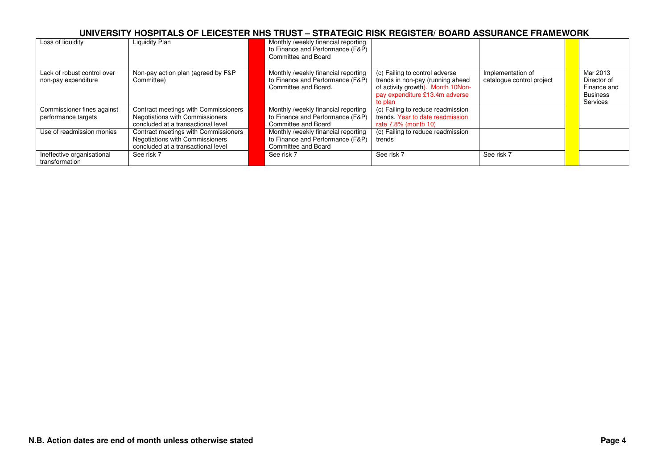| Loss of liquidity                                  | Liquidity Plan                                                                                                | Monthly /weekly financial reporting<br>to Finance and Performance (F&P)<br>Committee and Board  |                                                                                                                                                      |                                                |                                                                       |
|----------------------------------------------------|---------------------------------------------------------------------------------------------------------------|-------------------------------------------------------------------------------------------------|------------------------------------------------------------------------------------------------------------------------------------------------------|------------------------------------------------|-----------------------------------------------------------------------|
| Lack of robust control over<br>non-pay expenditure | Non-pay action plan (agreed by F&P<br>Committee)                                                              | Monthly /weekly financial reporting<br>to Finance and Performance (F&P)<br>Committee and Board. | (c) Failing to control adverse<br>trends in non-pay (running ahead<br>of activity growth). Month 10Non-<br>pay expenditure £13.4m adverse<br>to plan | Implementation of<br>catalogue control project | Mar 2013<br>Director of<br>Finance and<br><b>Business</b><br>Services |
| Commissioner fines against<br>performance targets  | Contract meetings with Commissioners<br>Negotiations with Commissioners<br>concluded at a transactional level | Monthly /weekly financial reporting<br>to Finance and Performance (F&P)<br>Committee and Board  | (c) Failing to reduce readmission<br>trends. Year to date readmission<br>rate 7.8% (month 10)                                                        |                                                |                                                                       |
| Use of readmission monies                          | Contract meetings with Commissioners<br>Negotiations with Commissioners<br>concluded at a transactional level | Monthly /weekly financial reporting<br>to Finance and Performance (F&P)<br>Committee and Board  | (c) Failing to reduce readmission<br>trends                                                                                                          |                                                |                                                                       |
| Ineffective organisational<br>transformation       | See risk 7                                                                                                    | See risk 7                                                                                      | See risk 7                                                                                                                                           | See risk 7                                     |                                                                       |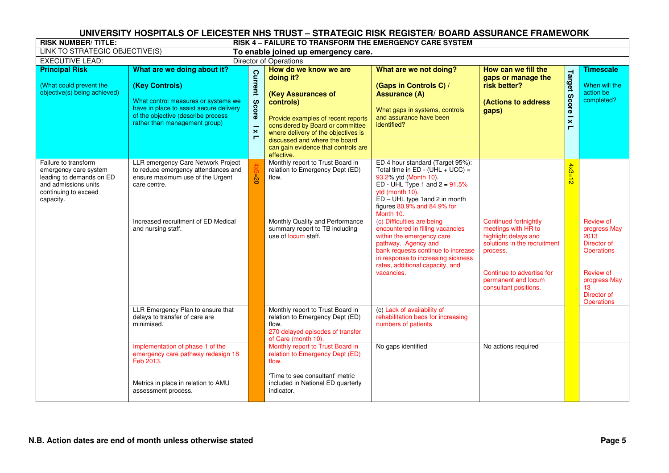| <b>RISK NUMBER/TITLE:</b>                                                                                                              |                                                                                                                                                                                                        | <u>UNIVENSITI MUSPITALS UF LEIUESTEN NNS TNUST – STNATEUIU NISN NEUISTEN/ DUAND ASSUNANUE FNAMEWUNN</u><br>RISK 4 - FAILURE TO TRANSFORM THE EMERGENCY CARE SYSTEM |                                                                                                                                                                                                                                                                              |                                                                                                                                                                                                                                                 |                                                                                                                                                                                                      |                                                        |                                                                                                                                              |  |  |  |
|----------------------------------------------------------------------------------------------------------------------------------------|--------------------------------------------------------------------------------------------------------------------------------------------------------------------------------------------------------|--------------------------------------------------------------------------------------------------------------------------------------------------------------------|------------------------------------------------------------------------------------------------------------------------------------------------------------------------------------------------------------------------------------------------------------------------------|-------------------------------------------------------------------------------------------------------------------------------------------------------------------------------------------------------------------------------------------------|------------------------------------------------------------------------------------------------------------------------------------------------------------------------------------------------------|--------------------------------------------------------|----------------------------------------------------------------------------------------------------------------------------------------------|--|--|--|
| LINK TO STRATEGIC OBJECTIVE(S)                                                                                                         |                                                                                                                                                                                                        | To enable joined up emergency care.                                                                                                                                |                                                                                                                                                                                                                                                                              |                                                                                                                                                                                                                                                 |                                                                                                                                                                                                      |                                                        |                                                                                                                                              |  |  |  |
| <b>EXECUTIVE LEAD:</b>                                                                                                                 |                                                                                                                                                                                                        | <b>Director of Operations</b>                                                                                                                                      |                                                                                                                                                                                                                                                                              |                                                                                                                                                                                                                                                 |                                                                                                                                                                                                      |                                                        |                                                                                                                                              |  |  |  |
| <b>Principal Risk</b><br>(What could prevent the<br>objective(s) being achieved)                                                       | What are we doing about it?<br>(Key Controls)<br>What control measures or systems we<br>have in place to assist secure delivery<br>of the objective (describe process<br>rather than management group) | Current<br>Score<br>$\boldsymbol{\times}$<br>$\blacksquare$                                                                                                        | How do we know we are<br>doing it?<br>(Key Assurances of<br>controls)<br>Provide examples of recent reports<br>considered by Board or committee<br>where delivery of the objectives is<br>discussed and where the board<br>can gain evidence that controls are<br>effective. | What are we not doing?<br>(Gaps in Controls C) /<br><b>Assurance (A)</b><br>What gaps in systems, controls<br>and assurance have been<br>identified?                                                                                            | How can we fill the<br>gaps or manage the<br>risk better?<br>(Actions to address<br>gaps)                                                                                                            | Target<br>Score<br>$\mathbf{\times}$<br>$\blacksquare$ | <b>Timescale</b><br>When will the<br>action be<br>completed?                                                                                 |  |  |  |
| Failure to transform<br>emergency care system<br>leading to demands on ED<br>and admissions units<br>continuing to exceed<br>capacity. | LLR emergency Care Network Project<br>to reduce emergency attendances and<br>ensure maximum use of the Urgent<br>care centre.                                                                          | $\bar{8}$                                                                                                                                                          | Monthly report to Trust Board in<br>relation to Emergency Dept (ED)<br>flow.                                                                                                                                                                                                 | ED 4 hour standard (Target 95%):<br>Total time in $ED - (UHL + UCC) =$<br>93.2% ytd (Month 10).<br>ED - UHL Type 1 and $2 = 91.5\%$<br>ytd (month 10).<br>$ED - UHL$ type 1 and 2 in month<br>figures 80.9% and 84.9% for<br>Month 10.          |                                                                                                                                                                                                      | $4x3=$                                                 |                                                                                                                                              |  |  |  |
|                                                                                                                                        | Increased recruitment of ED Medical<br>and nursing staff.                                                                                                                                              |                                                                                                                                                                    | Monthly Quality and Performance<br>summary report to TB including<br>use of locum staff.                                                                                                                                                                                     | (c) Difficulties are being<br>encountered in filling vacancies<br>within the emergency care<br>pathway. Agency and<br>bank requests continue to increase<br>in response to increasing sickness<br>rates, additional capacity, and<br>vacancies. | <b>Continued fortnightly</b><br>meetings with HR to<br>highlight delays and<br>solutions in the recruitment<br>process.<br>Continue to advertise for<br>permanent and locum<br>consultant positions. |                                                        | Review of<br>progress May<br>2013<br>Director of<br><b>Operations</b><br>Review of<br>progress May<br>13<br>Director of<br><b>Operations</b> |  |  |  |
|                                                                                                                                        | LLR Emergency Plan to ensure that<br>delays to transfer of care are<br>minimised.                                                                                                                      |                                                                                                                                                                    | Monthly report to Trust Board in<br>relation to Emergency Dept (ED)<br>flow.<br>270 delayed episodes of transfer<br>of Care (month 10).                                                                                                                                      | (c) Lack of availability of<br>rehabilitation beds for increasing<br>numbers of patients                                                                                                                                                        |                                                                                                                                                                                                      |                                                        |                                                                                                                                              |  |  |  |
|                                                                                                                                        | Implementation of phase 1 of the<br>emergency care pathway redesign 18<br>Feb 2013.<br>Metrics in place in relation to AMU<br>assessment process.                                                      |                                                                                                                                                                    | relation to Emergency Dept (ED)<br>flow.<br>'Time to see consultant' metric<br>included in National ED quarterly<br>indicator.                                                                                                                                               | No gaps identified                                                                                                                                                                                                                              | No actions required                                                                                                                                                                                  |                                                        |                                                                                                                                              |  |  |  |
|                                                                                                                                        |                                                                                                                                                                                                        |                                                                                                                                                                    | Monthly report to Trust Board in                                                                                                                                                                                                                                             |                                                                                                                                                                                                                                                 |                                                                                                                                                                                                      |                                                        |                                                                                                                                              |  |  |  |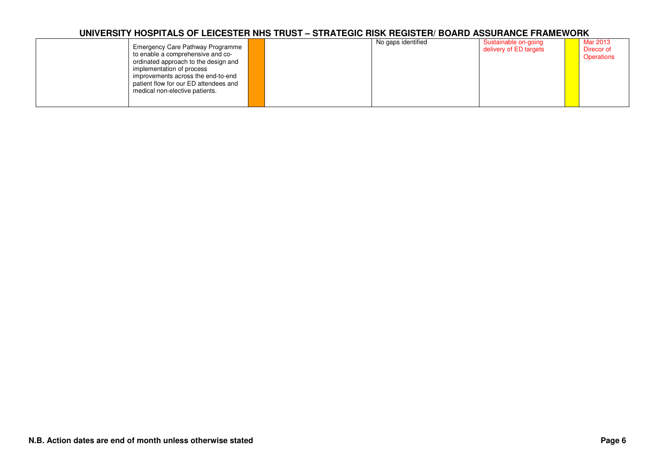| Emergency Care Pathway Programme<br>to enable a comprehensive and co-<br>ordinated approach to the design and<br>implementation of process<br>improvements across the end-to-end<br>patient flow for our ED attendees and<br>medical non-elective patients. |  | No gaps identified | Sustainable on-going<br>delivery of ED targets |  | Mar 2013<br>Direcor of<br>Operations |
|-------------------------------------------------------------------------------------------------------------------------------------------------------------------------------------------------------------------------------------------------------------|--|--------------------|------------------------------------------------|--|--------------------------------------|
|-------------------------------------------------------------------------------------------------------------------------------------------------------------------------------------------------------------------------------------------------------------|--|--------------------|------------------------------------------------|--|--------------------------------------|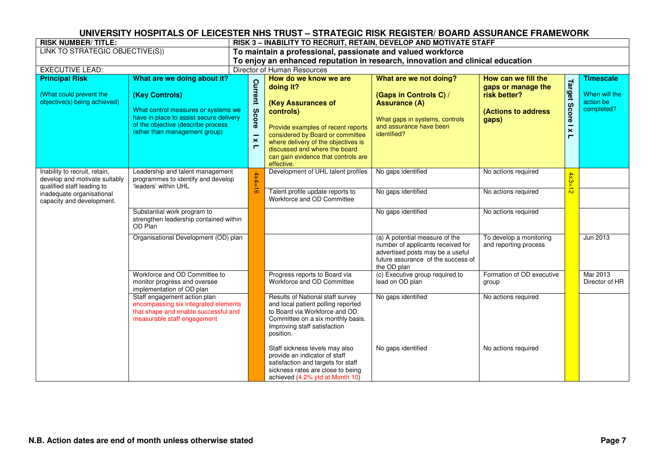| <b>RISK NUMBER/TITLE:</b>                                                                                                 |                                                                                                                                                                                                        | RISK 3 - INABILITY TO RECRUIT, RETAIN, DEVELOP AND MOTIVATE STAFF              |                                                                                                                                                                                                                                                                              |                                                                                                                                                              |                                                                                           |                                                 |                                                              |  |  |  |  |
|---------------------------------------------------------------------------------------------------------------------------|--------------------------------------------------------------------------------------------------------------------------------------------------------------------------------------------------------|--------------------------------------------------------------------------------|------------------------------------------------------------------------------------------------------------------------------------------------------------------------------------------------------------------------------------------------------------------------------|--------------------------------------------------------------------------------------------------------------------------------------------------------------|-------------------------------------------------------------------------------------------|-------------------------------------------------|--------------------------------------------------------------|--|--|--|--|
| LINK TO STRATEGIC OBJECTIVE(S))                                                                                           |                                                                                                                                                                                                        | To maintain a professional, passionate and valued workforce                    |                                                                                                                                                                                                                                                                              |                                                                                                                                                              |                                                                                           |                                                 |                                                              |  |  |  |  |
|                                                                                                                           |                                                                                                                                                                                                        | To enjoy an enhanced reputation in research, innovation and clinical education |                                                                                                                                                                                                                                                                              |                                                                                                                                                              |                                                                                           |                                                 |                                                              |  |  |  |  |
| <b>EXECUTIVE LEAD:</b>                                                                                                    |                                                                                                                                                                                                        |                                                                                | Director of Human Resources                                                                                                                                                                                                                                                  |                                                                                                                                                              |                                                                                           |                                                 |                                                              |  |  |  |  |
| <b>Principal Risk</b><br>(What could prevent the<br>objective(s) being achieved)                                          | What are we doing about it?<br>(Key Controls)<br>What control measures or systems we<br>have in place to assist secure delivery<br>of the objective (describe process<br>rather than management group) | <b>Current</b><br>Score<br>$\boldsymbol{\times}$<br>Е                          | How do we know we are<br>doing it?<br>(Key Assurances of<br>controls)<br>Provide examples of recent reports<br>considered by Board or committee<br>where delivery of the objectives is<br>discussed and where the board<br>can gain evidence that controls are<br>effective. | What are we not doing?<br>(Gaps in Controls C) /<br><b>Assurance (A)</b><br>What gaps in systems, controls<br>and assurance have been<br>identified?         | How can we fill the<br>gaps or manage the<br>risk better?<br>(Actions to address<br>gaps) | Target<br><b>Score</b><br>$\boldsymbol{\times}$ | <b>Timescale</b><br>When will the<br>action be<br>completed? |  |  |  |  |
| Inability to recruit, retain,<br>develop and motivate suitably<br>qualified staff leading to<br>inadequate organisational | Leadership and talent management<br>programmes to identify and develop<br>'leaders' within UHL                                                                                                         | $4x4 =$<br>$\frac{1}{\sigma}$                                                  | Development of UHL talent profiles<br>Talent profile update reports to                                                                                                                                                                                                       | No gaps identified<br>No gaps identified                                                                                                                     | No actions required<br>No actions required                                                | $4x3 =$<br>$\overline{N}$                       |                                                              |  |  |  |  |
| capacity and development.                                                                                                 |                                                                                                                                                                                                        |                                                                                | Workforce and OD Committee                                                                                                                                                                                                                                                   |                                                                                                                                                              |                                                                                           |                                                 |                                                              |  |  |  |  |
|                                                                                                                           | Substantial work program to<br>strengthen leadership contained within<br>OD Plan                                                                                                                       |                                                                                |                                                                                                                                                                                                                                                                              | No gaps identified                                                                                                                                           | No actions required                                                                       |                                                 |                                                              |  |  |  |  |
|                                                                                                                           | Organisational Development (OD) plan                                                                                                                                                                   |                                                                                |                                                                                                                                                                                                                                                                              | (a) A potential measure of the<br>number of applicants received for<br>advertised posts may be a useful<br>future assurance of the success of<br>the OD plan | To develop a monitoring<br>and reporting process                                          |                                                 | Jun 2013                                                     |  |  |  |  |
|                                                                                                                           | Workforce and OD Committee to<br>monitor progress and oversee<br>implementation of OD plan                                                                                                             |                                                                                | Progress reports to Board via<br>Workforce and OD Committee                                                                                                                                                                                                                  | (c) Executive group required to<br>lead on OD plan                                                                                                           | Formation of OD executive<br>group                                                        |                                                 | Mar 2013<br>Director of HR                                   |  |  |  |  |
|                                                                                                                           | Staff engagement action plan<br>encompassing six integrated elements<br>that shape and enable successful and<br>measurable staff engagement                                                            |                                                                                | Results of National staff survey<br>and local patient polling reported<br>to Board via Workforce and OD<br>Committee on a six monthly basis.<br>Improving staff satisfaction<br>position.                                                                                    | No gaps identified                                                                                                                                           | No actions required                                                                       |                                                 |                                                              |  |  |  |  |
|                                                                                                                           |                                                                                                                                                                                                        |                                                                                | Staff sickness levels may also<br>provide an indicator of staff<br>satisfaction and targets for staff<br>sickness rates are close to being<br>achieved (4.2% ytd at Month 10)                                                                                                | No gaps identified                                                                                                                                           | No actions required                                                                       |                                                 |                                                              |  |  |  |  |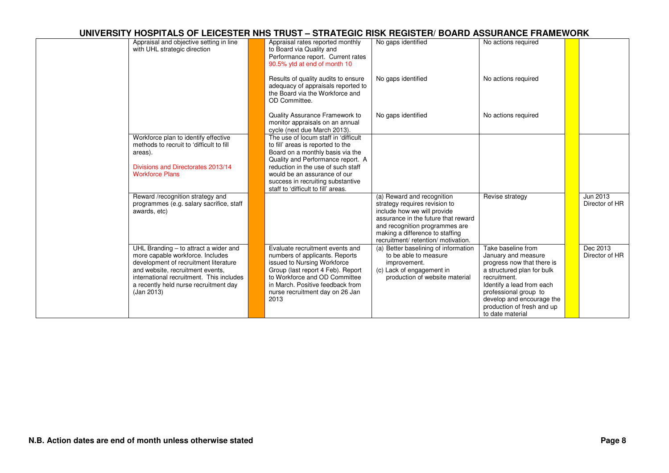| Appraisal and objective setting in line<br>with UHL strategic direction                                                                                                                                                                                   | Appraisal rates reported monthly<br>to Board via Quality and<br>Performance report. Current rates<br>90.5% ytd at end of month 10                                                                                                                     | No gaps identified                                                                                                                                                                                                                            | No actions required                                                                                                                                                                                                                                        |                            |
|-----------------------------------------------------------------------------------------------------------------------------------------------------------------------------------------------------------------------------------------------------------|-------------------------------------------------------------------------------------------------------------------------------------------------------------------------------------------------------------------------------------------------------|-----------------------------------------------------------------------------------------------------------------------------------------------------------------------------------------------------------------------------------------------|------------------------------------------------------------------------------------------------------------------------------------------------------------------------------------------------------------------------------------------------------------|----------------------------|
|                                                                                                                                                                                                                                                           | Results of quality audits to ensure<br>adequacy of appraisals reported to<br>the Board via the Workforce and<br>OD Committee.                                                                                                                         | No gaps identified                                                                                                                                                                                                                            | No actions required                                                                                                                                                                                                                                        |                            |
|                                                                                                                                                                                                                                                           | Quality Assurance Framework to<br>monitor appraisals on an annual<br>cycle (next due March 2013).                                                                                                                                                     | No gaps identified                                                                                                                                                                                                                            | No actions required                                                                                                                                                                                                                                        |                            |
| Workforce plan to identify effective<br>methods to recruit to 'difficult to fill<br>areas).                                                                                                                                                               | The use of locum staff in 'difficult<br>to fill' areas is reported to the<br>Board on a monthly basis via the<br>Quality and Performance report. A                                                                                                    |                                                                                                                                                                                                                                               |                                                                                                                                                                                                                                                            |                            |
| Divisions and Directorates 2013/14<br><b>Workforce Plans</b>                                                                                                                                                                                              | reduction in the use of such staff<br>would be an assurance of our<br>success in recruiting substantive<br>staff to 'difficult to fill' areas.                                                                                                        |                                                                                                                                                                                                                                               |                                                                                                                                                                                                                                                            |                            |
| Reward /recognition strategy and<br>programmes (e.g. salary sacrifice, staff<br>awards, etc)                                                                                                                                                              |                                                                                                                                                                                                                                                       | (a) Reward and recognition<br>strategy requires revision to<br>include how we will provide<br>assurance in the future that reward<br>and recognition programmes are<br>making a difference to staffing<br>recruitment/ retention/ motivation. | Revise strategy                                                                                                                                                                                                                                            | Jun 2013<br>Director of HR |
| UHL Branding - to attract a wider and<br>more capable workforce. Includes<br>development of recruitment literature<br>and website, recruitment events,<br>international recruitment. This includes<br>a recently held nurse recruitment day<br>(Jan 2013) | Evaluate recruitment events and<br>numbers of applicants. Reports<br>issued to Nursing Workforce<br>Group (last report 4 Feb). Report<br>to Workforce and OD Committee<br>in March. Positive feedback from<br>nurse recruitment day on 26 Jan<br>2013 | (a) Better baselining of information<br>to be able to measure<br>improvement.<br>(c) Lack of engagement in<br>production of website material                                                                                                  | Take baseline from<br>January and measure<br>progress now that there is<br>a structured plan for bulk<br>recruitment.<br>Identify a lead from each<br>professional group to<br>develop and encourage the<br>production of fresh and up<br>to date material | Dec 2013<br>Director of HR |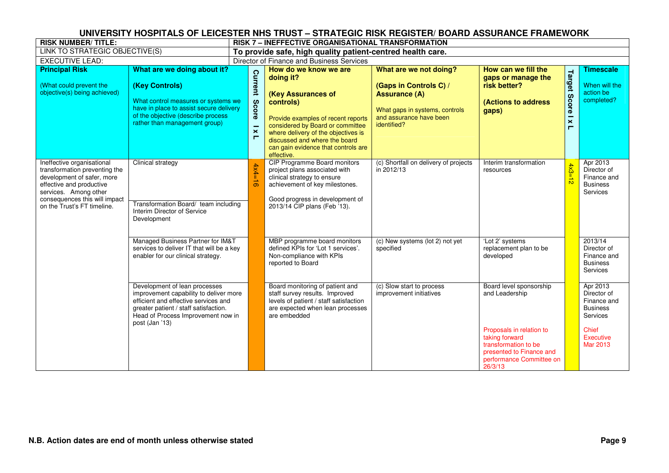| <b>RISK NUMBER/TITLE:</b>                                                                                                                                                                                      |                                                                                                                                                                                                                  | RISK 7 – INEFFECTIVE ORGANISATIONAL TRANSFORMATION          |                                                                                                                                                                                                                                                                              |                                                                                                                                                      |                                                                                                                                       |                                                      |                                                                       |  |  |  |
|----------------------------------------------------------------------------------------------------------------------------------------------------------------------------------------------------------------|------------------------------------------------------------------------------------------------------------------------------------------------------------------------------------------------------------------|-------------------------------------------------------------|------------------------------------------------------------------------------------------------------------------------------------------------------------------------------------------------------------------------------------------------------------------------------|------------------------------------------------------------------------------------------------------------------------------------------------------|---------------------------------------------------------------------------------------------------------------------------------------|------------------------------------------------------|-----------------------------------------------------------------------|--|--|--|
| LINK TO STRATEGIC OBJECTIVE(S)                                                                                                                                                                                 |                                                                                                                                                                                                                  | To provide safe, high quality patient-centred health care.  |                                                                                                                                                                                                                                                                              |                                                                                                                                                      |                                                                                                                                       |                                                      |                                                                       |  |  |  |
| <b>EXECUTIVE LEAD:</b>                                                                                                                                                                                         |                                                                                                                                                                                                                  | Director of Finance and Business Services                   |                                                                                                                                                                                                                                                                              |                                                                                                                                                      |                                                                                                                                       |                                                      |                                                                       |  |  |  |
| <b>Principal Risk</b><br>(What could prevent the<br>objective(s) being achieved)                                                                                                                               | What are we doing about it?<br>(Key Controls)<br>What control measures or systems we<br>have in place to assist secure delivery<br>of the objective (describe process<br>rather than management group)           | Current<br>Score<br>$\boldsymbol{\times}$<br>$\blacksquare$ | How do we know we are<br>doing it?<br>(Key Assurances of<br>controls)<br>Provide examples of recent reports<br>considered by Board or committee<br>where delivery of the objectives is<br>discussed and where the board<br>can gain evidence that controls are<br>effective. | What are we not doing?<br>(Gaps in Controls C) /<br><b>Assurance (A)</b><br>What gaps in systems, controls<br>and assurance have been<br>identified? | How can we fill the<br>gaps or manage the<br>risk better?<br>(Actions to address<br>gaps)                                             | Target<br><b>Score</b><br>$\boldsymbol{\times}$<br>Е | <b>Timescale</b><br>When will the<br>action be<br>completed?          |  |  |  |
| Ineffective organisational<br>transformation preventing the<br>development of safer, more<br>effective and productive<br>services. Among other<br>consequences this will impact<br>on the Trust's FT timeline. | Clinical strategy<br>Transformation Board/ team including<br>Interim Director of Service<br>Development                                                                                                          | $4x4 =$<br>$\sigma$                                         | <b>CIP Programme Board monitors</b><br>project plans associated with<br>clinical strategy to ensure<br>achievement of key milestones.<br>Good progress in development of<br>2013/14 CIP plans (Feb '13).                                                                     | (c) Shortfall on delivery of projects<br>in 2012/13                                                                                                  | Interim transformation<br>resources                                                                                                   | $4x3=12$                                             | Apr 2013<br>Director of<br>Finance and<br><b>Business</b><br>Services |  |  |  |
|                                                                                                                                                                                                                | Managed Business Partner for IM&T<br>services to deliver IT that will be a key<br>enabler for our clinical strategy.                                                                                             |                                                             | MBP programme board monitors<br>defined KPIs for 'Lot 1 services'.<br>Non-compliance with KPIs<br>reported to Board                                                                                                                                                          | (c) New systems (lot 2) not yet<br>specified                                                                                                         | 'Lot 2' systems<br>replacement plan to be<br>developed                                                                                |                                                      | 2013/14<br>Director of<br>Finance and<br><b>Business</b><br>Services  |  |  |  |
|                                                                                                                                                                                                                | Development of lean processes<br>improvement capability to deliver more<br>efficient and effective services and<br>greater patient / staff satisfaction.<br>Head of Process Improvement now in<br>post (Jan '13) |                                                             | Board monitoring of patient and<br>staff survey results. Improved<br>levels of patient / staff satisfaction<br>are expected when lean processes<br>are embedded                                                                                                              | (c) Slow start to process<br>improvement initiatives                                                                                                 | Board level sponsorship<br>and Leadership                                                                                             |                                                      | Apr 2013<br>Director of<br>Finance and<br><b>Business</b><br>Services |  |  |  |
|                                                                                                                                                                                                                |                                                                                                                                                                                                                  |                                                             |                                                                                                                                                                                                                                                                              |                                                                                                                                                      | Proposals in relation to<br>taking forward<br>transformation to be<br>presented to Finance and<br>performance Committee on<br>26/3/13 |                                                      | Chief<br>Executive<br>Mar 2013                                        |  |  |  |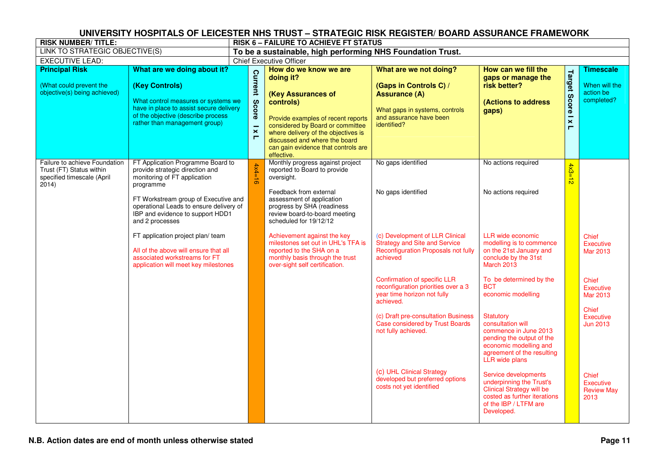| <b>RISK NUMBER/TITLE:</b>                                                                        |                                                                                                                                                                                                                                                                                                                                                                                                                    |                                                                    | <b>RISK 6 - FAILURE TO ACHIEVE FT STATUS</b>                                                                                                                                                                                                                                                                                                                                                         |                                                                                                                                                                                                                                                                                                                                                                                                                                                                                                             |                                                                                                                                                                                                                                                                                                                                                                                                                                                                                                                                                                     |                              |                                                                                                                                                                                   |
|--------------------------------------------------------------------------------------------------|--------------------------------------------------------------------------------------------------------------------------------------------------------------------------------------------------------------------------------------------------------------------------------------------------------------------------------------------------------------------------------------------------------------------|--------------------------------------------------------------------|------------------------------------------------------------------------------------------------------------------------------------------------------------------------------------------------------------------------------------------------------------------------------------------------------------------------------------------------------------------------------------------------------|-------------------------------------------------------------------------------------------------------------------------------------------------------------------------------------------------------------------------------------------------------------------------------------------------------------------------------------------------------------------------------------------------------------------------------------------------------------------------------------------------------------|---------------------------------------------------------------------------------------------------------------------------------------------------------------------------------------------------------------------------------------------------------------------------------------------------------------------------------------------------------------------------------------------------------------------------------------------------------------------------------------------------------------------------------------------------------------------|------------------------------|-----------------------------------------------------------------------------------------------------------------------------------------------------------------------------------|
| LINK TO STRATEGIC OBJECTIVE(S)                                                                   |                                                                                                                                                                                                                                                                                                                                                                                                                    |                                                                    | To be a sustainable, high performing NHS Foundation Trust.                                                                                                                                                                                                                                                                                                                                           |                                                                                                                                                                                                                                                                                                                                                                                                                                                                                                             |                                                                                                                                                                                                                                                                                                                                                                                                                                                                                                                                                                     |                              |                                                                                                                                                                                   |
| <b>EXECUTIVE LEAD:</b>                                                                           |                                                                                                                                                                                                                                                                                                                                                                                                                    |                                                                    | <b>Chief Executive Officer</b>                                                                                                                                                                                                                                                                                                                                                                       |                                                                                                                                                                                                                                                                                                                                                                                                                                                                                                             |                                                                                                                                                                                                                                                                                                                                                                                                                                                                                                                                                                     |                              |                                                                                                                                                                                   |
| <b>Principal Risk</b><br>(What could prevent the<br>objective(s) being achieved)                 | What are we doing about it?<br>(Key Controls)<br>What control measures or systems we<br>have in place to assist secure delivery<br>of the objective (describe process<br>rather than management group)                                                                                                                                                                                                             | <b>Current</b><br>Score<br>$\mathbf{\mathsf{x}}$<br>$\blacksquare$ | How do we know we are<br>doing it?<br>(Key Assurances of<br>controls)<br>Provide examples of recent reports<br>considered by Board or committee<br>where delivery of the objectives is<br>discussed and where the board<br>can gain evidence that controls are<br>effective.                                                                                                                         | What are we not doing?<br>(Gaps in Controls C) /<br><b>Assurance (A)</b><br>What gaps in systems, controls<br>and assurance have been<br>identified?                                                                                                                                                                                                                                                                                                                                                        | How can we fill the<br>gaps or manage the<br>risk better?<br>(Actions to address<br>gaps)                                                                                                                                                                                                                                                                                                                                                                                                                                                                           | <b>Target Score I x</b><br>Е | Timescale<br>When will the<br>action be<br>completed?                                                                                                                             |
| Failure to achieve Foundation<br>Trust (FT) Status within<br>specified timescale (April<br>2014) | FT Application Programme Board to<br>provide strategic direction and<br>monitoring of FT application<br>programme<br>FT Workstream group of Executive and<br>operational Leads to ensure delivery of<br>IBP and evidence to support HDD1<br>and 2 processes<br>FT application project plan/ team<br>All of the above will ensure that all<br>associated workstreams for FT<br>application will meet key milestones | $4x4=16$                                                           | Monthly progress against project<br>reported to Board to provide<br>oversight.<br>Feedback from external<br>assessment of application<br>progress by SHA (readiness<br>review board-to-board meeting<br>scheduled for 19/12/12<br>Achievement against the key<br>milestones set out in UHL's TFA is<br>reported to the SHA on a<br>monthly basis through the trust<br>over-sight self certification. | No gaps identified<br>No gaps identified<br>(c) Development of LLR Clinical<br><b>Strategy and Site and Service</b><br><b>Reconfiguration Proposals not fully</b><br>achieved<br><b>Confirmation of specific LLR</b><br>reconfiguration priorities over a 3<br>year time horizon not fully<br>achieved.<br>(c) Draft pre-consultation Business<br><b>Case considered by Trust Boards</b><br>not fully achieved.<br>(c) UHL Clinical Strategy<br>developed but preferred options<br>costs not yet identified | No actions required<br>No actions required<br>LLR wide economic<br>modelling is to commence<br>on the 21st January and<br>conclude by the 31st<br>March 2013<br>To be determined by the<br><b>BCT</b><br>economic modelling<br>Statutory<br>consultation will<br>commence in June 2013<br>pending the output of the<br>economic modelling and<br>agreement of the resulting<br><b>LLR</b> wide plans<br>Service developments<br>underpinning the Trust's<br><b>Clinical Strategy will be</b><br>costed as further iterations<br>of the IBP / LTFM are<br>Developed. | $4x3=$<br>忈                  | <b>Chief</b><br>Executive<br>Mar 2013<br><b>Chief</b><br>Executive<br>Mar 2013<br><b>Chief</b><br>Executive<br>Jun 2013<br><b>Chief</b><br>Executive<br><b>Review May</b><br>2013 |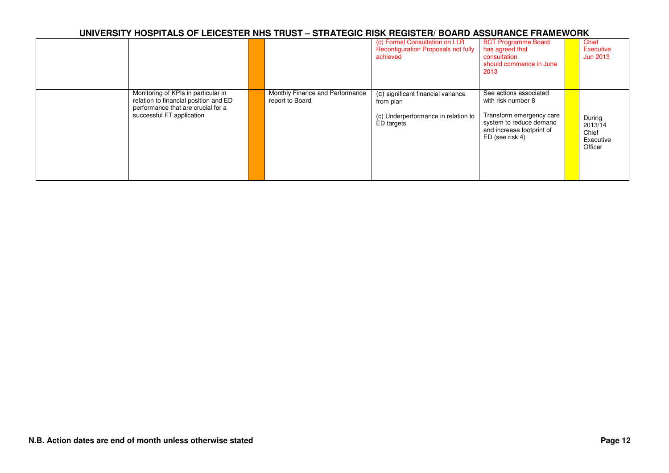|                                                                                                                                                 |                                                    | (c) Formal Consultation on LLR<br>Reconfiguration Proposals not fully<br>achieved                    | <b>BCT Programme Board</b><br>has agreed that<br>consultation<br>should commence in June<br>2013                                                    | Chief<br>Executive<br><b>Jun 2013</b>              |
|-------------------------------------------------------------------------------------------------------------------------------------------------|----------------------------------------------------|------------------------------------------------------------------------------------------------------|-----------------------------------------------------------------------------------------------------------------------------------------------------|----------------------------------------------------|
| Monitoring of KPIs in particular in<br>relation to financial position and ED<br>performance that are crucial for a<br>successful FT application | Monthly Finance and Performance<br>report to Board | (c) significant financial variance<br>from plan<br>(c) Underperformance in relation to<br>ED targets | See actions associated<br>with risk number 8<br>Transform emergency care<br>system to reduce demand<br>and increase footprint of<br>ED (see risk 4) | During<br>2013/14<br>Chief<br>Executive<br>Officer |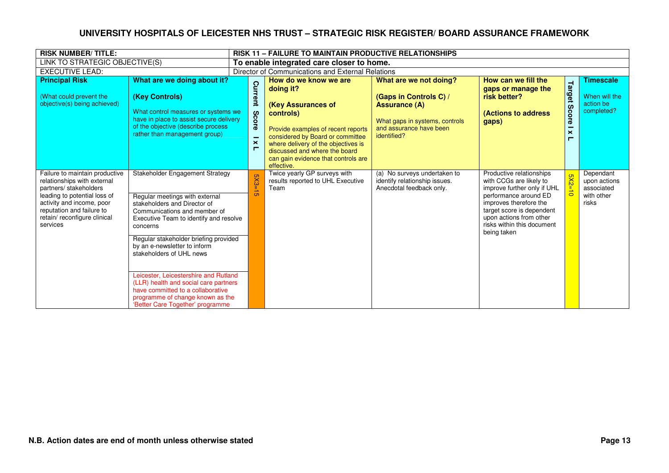| <b>RISK NUMBER/TITLE:</b>                                                                                                                                                                                                    |                                                                                                                                                                                                                                                                                                                                                                                                                                                                                             |                                                                     | <b>RISK 11 - FAILURE TO MAINTAIN PRODUCTIVE RELATIONSHIPS</b>                                                                                                                                                                                                                |                                                                                                                                                      |                                                                                                                                                                                                                                            |                                                 |                                                                |
|------------------------------------------------------------------------------------------------------------------------------------------------------------------------------------------------------------------------------|---------------------------------------------------------------------------------------------------------------------------------------------------------------------------------------------------------------------------------------------------------------------------------------------------------------------------------------------------------------------------------------------------------------------------------------------------------------------------------------------|---------------------------------------------------------------------|------------------------------------------------------------------------------------------------------------------------------------------------------------------------------------------------------------------------------------------------------------------------------|------------------------------------------------------------------------------------------------------------------------------------------------------|--------------------------------------------------------------------------------------------------------------------------------------------------------------------------------------------------------------------------------------------|-------------------------------------------------|----------------------------------------------------------------|
| LINK TO STRATEGIC OBJECTIVE(S)                                                                                                                                                                                               |                                                                                                                                                                                                                                                                                                                                                                                                                                                                                             |                                                                     | To enable integrated care closer to home.                                                                                                                                                                                                                                    |                                                                                                                                                      |                                                                                                                                                                                                                                            |                                                 |                                                                |
| <b>EXECUTIVE LEAD:</b>                                                                                                                                                                                                       |                                                                                                                                                                                                                                                                                                                                                                                                                                                                                             |                                                                     | Director of Communications and External Relations                                                                                                                                                                                                                            |                                                                                                                                                      |                                                                                                                                                                                                                                            |                                                 |                                                                |
| <b>Principal Risk</b><br>(What could prevent the<br>objective(s) being achieved)                                                                                                                                             | What are we doing about it?<br>(Key Controls)<br>What control measures or systems we<br>have in place to assist secure delivery<br>of the objective (describe process<br>rather than management group)                                                                                                                                                                                                                                                                                      | റ<br>turrent<br>Sco<br>ā<br>$\boldsymbol{\times}$<br>$\blacksquare$ | How do we know we are<br>doing it?<br>(Key Assurances of<br>controls)<br>Provide examples of recent reports<br>considered by Board or committee<br>where delivery of the objectives is<br>discussed and where the board<br>can gain evidence that controls are<br>effective. | What are we not doing?<br>(Gaps in Controls C) /<br><b>Assurance (A)</b><br>What gaps in systems, controls<br>and assurance have been<br>identified? | How can we fill the<br>gaps or manage the<br>risk better?<br><b>(Actions to address</b><br>gaps)                                                                                                                                           | Target<br><b>Score</b><br>$\boldsymbol{\times}$ | <b>Timescale</b><br>When will the<br>action be<br>completed?   |
| Failure to maintain productive<br>relationships with external<br>partners/stakeholders<br>leading to potential loss of<br>activity and income, poor<br>reputation and failure to<br>retain/ reconfigure clinical<br>services | Stakeholder Engagement Strategy<br>Regular meetings with external<br>stakeholders and Director of<br>Communications and member of<br>Executive Team to identify and resolve<br>concerns<br>Regular stakeholder briefing provided<br>by an e-newsletter to inform<br>stakeholders of UHL news<br>Leicester, Leicestershire and Rutland<br>(LLR) health and social care partners<br>have committed to a collaborative<br>programme of change known as the<br>'Better Care Together' programme | $X3=$                                                               | Twice yearly GP surveys with<br>results reported to UHL Executive<br>Team                                                                                                                                                                                                    | (a) No surveys undertaken to<br>identify relationship issues.<br>Anecdotal feedback only.                                                            | Productive relationships<br>with CCGs are likely to<br>improve further only if UHL<br>performance around ED<br>improves therefore the<br>target score is dependent<br>upon actions from other<br>risks within this document<br>being taken | Ōп                                              | Dependant<br>upon actions<br>associated<br>with other<br>risks |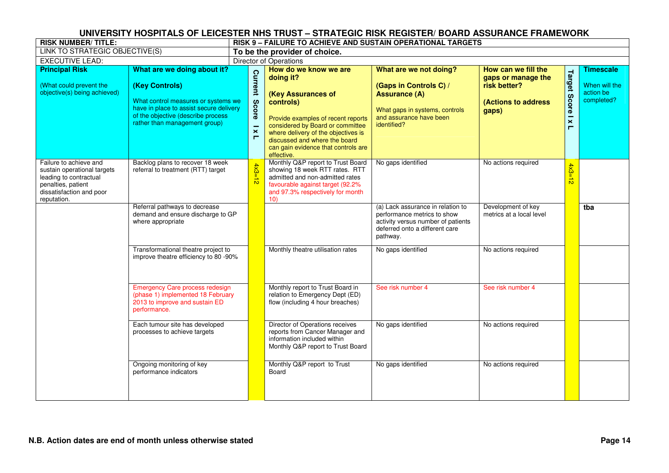| <b>RISK NUMBER/TITLE:</b>                                                                                                                        |                                                                                                                                                                                                        | RISK 9 – FAILURE TO ACHIEVE AND SUSTAIN OPERATIONAL TARGETS |                                                                                                                                                                                                                                                                              |                                                                                                                                                      |                                                                                           |                                                      |                                                              |  |  |  |  |
|--------------------------------------------------------------------------------------------------------------------------------------------------|--------------------------------------------------------------------------------------------------------------------------------------------------------------------------------------------------------|-------------------------------------------------------------|------------------------------------------------------------------------------------------------------------------------------------------------------------------------------------------------------------------------------------------------------------------------------|------------------------------------------------------------------------------------------------------------------------------------------------------|-------------------------------------------------------------------------------------------|------------------------------------------------------|--------------------------------------------------------------|--|--|--|--|
| LINK TO STRATEGIC OBJECTIVE(S)                                                                                                                   |                                                                                                                                                                                                        |                                                             | To be the provider of choice.                                                                                                                                                                                                                                                |                                                                                                                                                      |                                                                                           |                                                      |                                                              |  |  |  |  |
| <b>EXECUTIVE LEAD:</b>                                                                                                                           |                                                                                                                                                                                                        |                                                             | <b>Director of Operations</b>                                                                                                                                                                                                                                                |                                                                                                                                                      |                                                                                           |                                                      |                                                              |  |  |  |  |
| <b>Principal Risk</b><br>(What could prevent the<br>objective(s) being achieved)                                                                 | What are we doing about it?<br>(Key Controls)<br>What control measures or systems we<br>have in place to assist secure delivery<br>of the objective (describe process<br>rather than management group) | Current<br>Score<br>$\boldsymbol{\times}$<br>$\blacksquare$ | How do we know we are<br>doing it?<br>(Key Assurances of<br>controls)<br>Provide examples of recent reports<br>considered by Board or committee<br>where delivery of the objectives is<br>discussed and where the board<br>can gain evidence that controls are<br>effective. | What are we not doing?<br>(Gaps in Controls C) /<br><b>Assurance (A)</b><br>What gaps in systems, controls<br>and assurance have been<br>identified? | How can we fill the<br>gaps or manage the<br>risk better?<br>(Actions to address<br>gaps) | Target<br><b>Score</b><br>$\times$<br>$\blacksquare$ | <b>Timescale</b><br>When will the<br>action be<br>completed? |  |  |  |  |
| Failure to achieve and<br>sustain operational targets<br>leading to contractual<br>penalties, patient<br>dissatisfaction and poor<br>reputation. | Backlog plans to recover 18 week<br>referral to treatment (RTT) target                                                                                                                                 | $4x3 =$<br>$\frac{1}{\mathbf{D}}$                           | Monthly Q&P report to Trust Board<br>showing 18 week RTT rates. RTT<br>admitted and non-admitted rates<br>favourable against target (92.2%<br>and 97.3% respectively for month<br>10)                                                                                        | No gaps identified                                                                                                                                   | No actions required                                                                       | $4x3=$<br>$\frac{1}{\infty}$                         |                                                              |  |  |  |  |
|                                                                                                                                                  | Referral pathways to decrease<br>demand and ensure discharge to GP<br>where appropriate                                                                                                                |                                                             |                                                                                                                                                                                                                                                                              | (a) Lack assurance in relation to<br>performance metrics to show<br>activity versus number of patients<br>deferred onto a different care<br>pathway. | Development of key<br>metrics at a local level                                            |                                                      | tba                                                          |  |  |  |  |
|                                                                                                                                                  | Transformational theatre project to<br>improve theatre efficiency to 80 -90%                                                                                                                           |                                                             | Monthly theatre utilisation rates                                                                                                                                                                                                                                            | No gaps identified                                                                                                                                   | No actions required                                                                       |                                                      |                                                              |  |  |  |  |
|                                                                                                                                                  | <b>Emergency Care process redesign</b><br>(phase 1) implemented 18 February<br>2013 to improve and sustain ED<br>performance.                                                                          |                                                             | Monthly report to Trust Board in<br>relation to Emergency Dept (ED)<br>flow (including 4 hour breaches)                                                                                                                                                                      | See risk number 4                                                                                                                                    | See risk number 4                                                                         |                                                      |                                                              |  |  |  |  |
|                                                                                                                                                  | Each tumour site has developed<br>processes to achieve targets                                                                                                                                         |                                                             | Director of Operations receives<br>reports from Cancer Manager and<br>information included within<br>Monthly Q&P report to Trust Board                                                                                                                                       | No gaps identified                                                                                                                                   | No actions required                                                                       |                                                      |                                                              |  |  |  |  |
|                                                                                                                                                  | Ongoing monitoring of key<br>performance indicators                                                                                                                                                    |                                                             | Monthly Q&P report to Trust<br>Board                                                                                                                                                                                                                                         | No gaps identified                                                                                                                                   | No actions required                                                                       |                                                      |                                                              |  |  |  |  |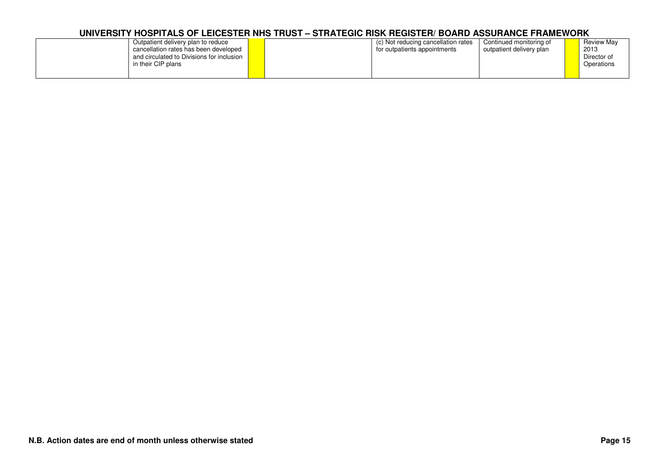| Outpatient delivery plan to reduce<br>cancellation rates has been developed<br>and circulated to Divisions for inclusion I<br>in their CIP plans | (c) Not reducing cancellation rates<br>for outpatients appointments | Continued monitoring of<br>outpatient delivery plan | <b>Review Mav</b><br>2013<br>Director of<br>Operations |
|--------------------------------------------------------------------------------------------------------------------------------------------------|---------------------------------------------------------------------|-----------------------------------------------------|--------------------------------------------------------|
|                                                                                                                                                  |                                                                     |                                                     |                                                        |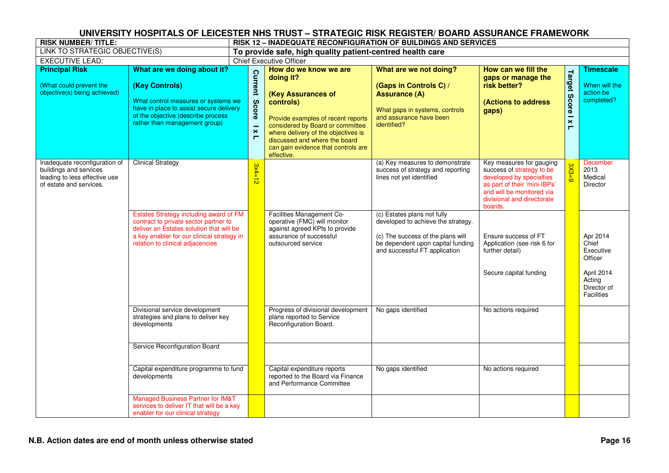| <b>RISK NUMBER/TITLE:</b>                                                                                           |                                                                                                                                                                                                               |                                                |                                                                                                                                                                                                                                                                              | <b>RISK 12 - INADEQUATE RECONFIGURATION OF BUILDINGS AND SERVICES</b>                                                                                                        |                                                                                                                                                                                         |                                                     |                                                                                                       |
|---------------------------------------------------------------------------------------------------------------------|---------------------------------------------------------------------------------------------------------------------------------------------------------------------------------------------------------------|------------------------------------------------|------------------------------------------------------------------------------------------------------------------------------------------------------------------------------------------------------------------------------------------------------------------------------|------------------------------------------------------------------------------------------------------------------------------------------------------------------------------|-----------------------------------------------------------------------------------------------------------------------------------------------------------------------------------------|-----------------------------------------------------|-------------------------------------------------------------------------------------------------------|
| LINK TO STRATEGIC OBJECTIVE(S)                                                                                      |                                                                                                                                                                                                               |                                                | To provide safe, high quality patient-centred health care                                                                                                                                                                                                                    |                                                                                                                                                                              |                                                                                                                                                                                         |                                                     |                                                                                                       |
| <b>EXECUTIVE LEAD:</b>                                                                                              |                                                                                                                                                                                                               |                                                | <b>Chief Executive Officer</b>                                                                                                                                                                                                                                               |                                                                                                                                                                              |                                                                                                                                                                                         |                                                     |                                                                                                       |
| <b>Principal Risk</b><br>(What could prevent the<br>objective(s) being achieved)                                    | What are we doing about it?<br>(Key Controls)<br>What control measures or systems we<br>have in place to assist secure delivery<br>of the objective (describe process<br>rather than management group)        | Current<br>Score<br>$\boldsymbol{\times}$<br>Е | How do we know we are<br>doing it?<br>(Key Assurances of<br>controls)<br>Provide examples of recent reports<br>considered by Board or committee<br>where delivery of the objectives is<br>discussed and where the board<br>can gain evidence that controls are<br>effective. | What are we not doing?<br>(Gaps in Controls C) /<br><b>Assurance (A)</b><br>What gaps in systems, controls<br>and assurance have been<br>identified?                         | How can we fill the<br>gaps or manage the<br>risk better?<br>(Actions to address<br>gaps)                                                                                               | <b>Target Score</b><br>$\overline{\mathbf{x}}$<br>Н | <b>Timescale</b><br>When will the<br>action be<br>completed?                                          |
| Inadequate reconfiguration of<br>buildings and services<br>leading to less effective use<br>of estate and services. | <b>Clinical Strategy</b>                                                                                                                                                                                      | $3x4=12$                                       |                                                                                                                                                                                                                                                                              | (a) Key measures to demonstrate<br>success of strategy and reporting<br>lines not yet identified                                                                             | Key measures for gauging<br>success of strategy to be<br>developed by specialties<br>as part of their 'mini-IBPs'<br>and will be monitored via<br>divisional and directorate<br>boards. | $3X3=9$                                             | <b>December</b><br>2013<br>Medical<br>Director                                                        |
|                                                                                                                     | Estates Strategy including award of FM<br>contract to private sector partner to<br>deliver an Estates solution that will be<br>a key enabler for our clinical strategy in<br>relation to clinical adjacencies |                                                | Facilities Management Co-<br>operative (FMC) will monitor<br>against agreed KPIs to provide<br>assurance of successful<br>outsourced service                                                                                                                                 | (c) Estates plans not fully<br>developed to achieve the strategy.<br>(c) The success of the plans will<br>be dependent upon capital funding<br>and successful FT application | Ensure success of FT<br>Application (see risk 6 for<br>further detail)<br>Secure capital funding                                                                                        |                                                     | Apr 2014<br>Chief<br>Executive<br>Officer<br>April 2014<br>Acting<br>Director of<br><b>Facilities</b> |
|                                                                                                                     | Divisional service development<br>strategies and plans to deliver key<br>developments                                                                                                                         |                                                | Progress of divisional development<br>plans reported to Service<br>Reconfiguration Board.                                                                                                                                                                                    | No gaps identified                                                                                                                                                           | No actions required                                                                                                                                                                     |                                                     |                                                                                                       |
|                                                                                                                     | Service Reconfiguration Board                                                                                                                                                                                 |                                                |                                                                                                                                                                                                                                                                              |                                                                                                                                                                              |                                                                                                                                                                                         |                                                     |                                                                                                       |
|                                                                                                                     | Capital expenditure programme to fund<br>developments                                                                                                                                                         |                                                | Capital expenditure reports<br>reported to the Board via Finance<br>and Performance Committee                                                                                                                                                                                | No gaps identified                                                                                                                                                           | No actions required                                                                                                                                                                     |                                                     |                                                                                                       |
|                                                                                                                     | <b>Managed Business Partner for IM&amp;T</b><br>services to deliver IT that will be a key<br>enabler for our clinical strategy                                                                                |                                                |                                                                                                                                                                                                                                                                              |                                                                                                                                                                              |                                                                                                                                                                                         |                                                     |                                                                                                       |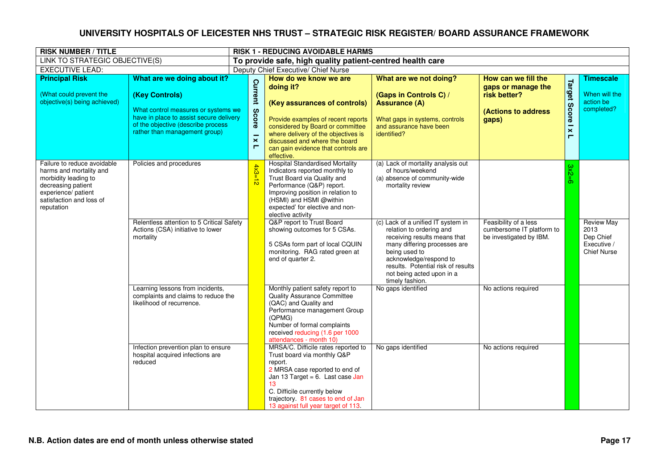| <b>RISK NUMBER / TITLE</b>                                                                                                                                            |                                                                                                                                                                                                        |                                                                |                                                                                                                                                                                                                                                                           |                                                                                                                                                                                                                                                                 |                                                                                                   | <b>RISK 1 - REDUCING AVOIDABLE HARMS</b>                          |                                                                             |  |  |  |  |  |  |
|-----------------------------------------------------------------------------------------------------------------------------------------------------------------------|--------------------------------------------------------------------------------------------------------------------------------------------------------------------------------------------------------|----------------------------------------------------------------|---------------------------------------------------------------------------------------------------------------------------------------------------------------------------------------------------------------------------------------------------------------------------|-----------------------------------------------------------------------------------------------------------------------------------------------------------------------------------------------------------------------------------------------------------------|---------------------------------------------------------------------------------------------------|-------------------------------------------------------------------|-----------------------------------------------------------------------------|--|--|--|--|--|--|
| LINK TO STRATEGIC OBJECTIVE(S)                                                                                                                                        |                                                                                                                                                                                                        |                                                                | To provide safe, high quality patient-centred health care                                                                                                                                                                                                                 |                                                                                                                                                                                                                                                                 |                                                                                                   |                                                                   |                                                                             |  |  |  |  |  |  |
| <b>EXECUTIVE LEAD:</b>                                                                                                                                                |                                                                                                                                                                                                        |                                                                | Deputy Chief Executive/ Chief Nurse                                                                                                                                                                                                                                       |                                                                                                                                                                                                                                                                 |                                                                                                   |                                                                   |                                                                             |  |  |  |  |  |  |
| <b>Principal Risk</b><br>(What could prevent the<br>objective(s) being achieved)                                                                                      | What are we doing about it?<br>(Key Controls)<br>What control measures or systems we<br>have in place to assist secure delivery<br>of the objective (describe process<br>rather than management group) | <b>Current</b><br>Score<br>$\mathbf{\times}$<br>$\blacksquare$ | How do we know we are<br>doing it?<br>(Key assurances of controls)<br>Provide examples of recent reports<br>considered by Board or committee<br>where delivery of the objectives is<br>discussed and where the board<br>can gain evidence that controls are<br>effective. | What are we not doing?<br>(Gaps in Controls C) /<br><b>Assurance (A)</b><br>What gaps in systems, controls<br>and assurance have been<br>identified?                                                                                                            | How can we fill the<br>gaps or manage the<br>risk better?<br><b>(Actions to address)</b><br>gaps) | Target<br><b>Score</b><br>$\boldsymbol{\times}$<br>$\blacksquare$ | <b>Timescale</b><br>When will the<br>action be<br>completed?                |  |  |  |  |  |  |
| Failure to reduce avoidable<br>harms and mortality and<br>morbidity leading to<br>decreasing patient<br>experience/ patient<br>satisfaction and loss of<br>reputation | Policies and procedures                                                                                                                                                                                | $4x3=$<br>$\vec{D}$                                            | <b>Hospital Standardised Mortality</b><br>Indicators reported monthly to<br>Trust Board via Quality and<br>Performance (Q&P) report.<br>Improving position in relation to<br>(HSMI) and HSMI @within<br>expected' for elective and non-<br>elective activity              | (a) Lack of mortality analysis out<br>of hours/weekend<br>(a) absence of community-wide<br>mortality review                                                                                                                                                     |                                                                                                   | 3x2                                                               |                                                                             |  |  |  |  |  |  |
|                                                                                                                                                                       | Relentless attention to 5 Critical Safety<br>Actions (CSA) initiative to lower<br>mortality                                                                                                            |                                                                | Q&P report to Trust Board<br>showing outcomes for 5 CSAs.<br>5 CSAs form part of local CQUIN<br>monitoring. RAG rated green at<br>end of quarter 2.                                                                                                                       | (c) Lack of a unified IT system in<br>relation to ordering and<br>receiving results means that<br>many differing processes are<br>being used to<br>acknowledge/respond to<br>results. Potential risk of results<br>not being acted upon in a<br>timely fashion. | Feasibility of a less<br>cumbersome IT platform to<br>be investigated by IBM.                     |                                                                   | <b>Review May</b><br>2013<br>Dep Chief<br>Executive /<br><b>Chief Nurse</b> |  |  |  |  |  |  |
|                                                                                                                                                                       | Learning lessons from incidents,<br>complaints and claims to reduce the<br>likelihood of recurrence.                                                                                                   |                                                                | Monthly patient safety report to<br><b>Quality Assurance Committee</b><br>(QAC) and Quality and<br>Performance management Group<br>(QPMG)<br>Number of formal complaints<br>received reducing (1.6 per 1000<br>attendances - month 10)                                    | No gaps identified                                                                                                                                                                                                                                              | No actions required                                                                               |                                                                   |                                                                             |  |  |  |  |  |  |
|                                                                                                                                                                       | Infection prevention plan to ensure<br>hospital acquired infections are<br>reduced                                                                                                                     |                                                                | MRSA/C. Difficile rates reported to<br>Trust board via monthly Q&P<br>report.<br>2 MRSA case reported to end of<br>Jan 13 Target = $6.$ Last case Jan<br>13<br>C. Difficile currently below<br>trajectory. 81 cases to end of Jan<br>13 against full year target of 113.  | No gaps identified                                                                                                                                                                                                                                              | No actions required                                                                               |                                                                   |                                                                             |  |  |  |  |  |  |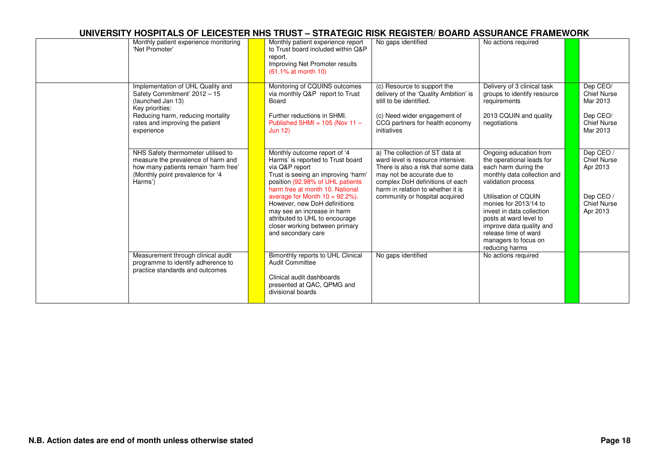| Monthly patient experience monitoring<br>'Net Promoter'                                                                                                                                         | Monthly patient experience report<br>to Trust board included within Q&P<br>report.<br>Improving Net Promoter results<br>(61.1% at month 10)                                                                                                                                                                                                                                                      | No gaps identified                                                                                                                                                                                                                                  | No actions required                                                                                                                                                                                                                                                                                                                    |                                                                                          |
|-------------------------------------------------------------------------------------------------------------------------------------------------------------------------------------------------|--------------------------------------------------------------------------------------------------------------------------------------------------------------------------------------------------------------------------------------------------------------------------------------------------------------------------------------------------------------------------------------------------|-----------------------------------------------------------------------------------------------------------------------------------------------------------------------------------------------------------------------------------------------------|----------------------------------------------------------------------------------------------------------------------------------------------------------------------------------------------------------------------------------------------------------------------------------------------------------------------------------------|------------------------------------------------------------------------------------------|
| Implementation of UHL Quality and<br>Safety Commitment' 2012 - 15<br>(launched Jan 13)<br>Key priorities:<br>Reducing harm, reducing mortality<br>rates and improving the patient<br>experience | Monitoring of CQUINS outcomes<br>via monthly Q&P report to Trust<br>Board<br>Further reductions in SHMI.<br>Published SHMI = $105$ (Nov 11 -<br><b>Jun 12)</b>                                                                                                                                                                                                                                   | (c) Resource to support the<br>delivery of the 'Quality Ambition' is<br>still to be identified.<br>(c) Need wider engagement of<br>CCG partners for health economy<br>initiatives                                                                   | Delivery of 3 clinical task<br>groups to identify resource<br>requirements<br>2013 CQUIN and quality<br>negotiations                                                                                                                                                                                                                   | Dep CEO/<br><b>Chief Nurse</b><br>Mar 2013<br>Dep CEO/<br><b>Chief Nurse</b><br>Mar 2013 |
| NHS Safety thermometer utilised to<br>measure the prevalence of harm and<br>how many patients remain 'harm free'<br>(Monthly point prevalence for '4<br>Harms')                                 | Monthly outcome report of '4<br>Harms' is reported to Trust board<br>via Q&P report<br>Trust is seeing an improving 'harm'<br>position (92.98% of UHL patients<br>harm free at month 10. National<br>average for Month $10 = 92.2\%$ ).<br>However, new DoH definitions<br>may see an increase in harm<br>attributed to UHL to encourage<br>closer working between primary<br>and secondary care | a) The collection of ST data at<br>ward level is resource intensive.<br>There is also a risk that some data<br>may not be accurate due to<br>complex DoH definitions of each<br>harm in relation to whether it is<br>community or hospital acquired | Ongoing education from<br>the operational leads for<br>each harm during the<br>monthly data collection and<br>validation process<br>Utilisation of COUIN<br>monies for 2013/14 to<br>invest in data collection<br>posts at ward level to<br>improve data quality and<br>release time of ward<br>managers to focus on<br>reducing harms | Dep CEO/<br><b>Chief Nurse</b><br>Apr 2013<br>Dep CEO/<br><b>Chief Nurse</b><br>Apr 2013 |
| Measurement through clinical audit<br>programme to identify adherence to<br>practice standards and outcomes                                                                                     | Bimonthly reports to UHL Clinical<br><b>Audit Committee</b><br>Clinical audit dashboards<br>presented at QAC, QPMG and<br>divisional boards                                                                                                                                                                                                                                                      | No gaps identified                                                                                                                                                                                                                                  | No actions required                                                                                                                                                                                                                                                                                                                    |                                                                                          |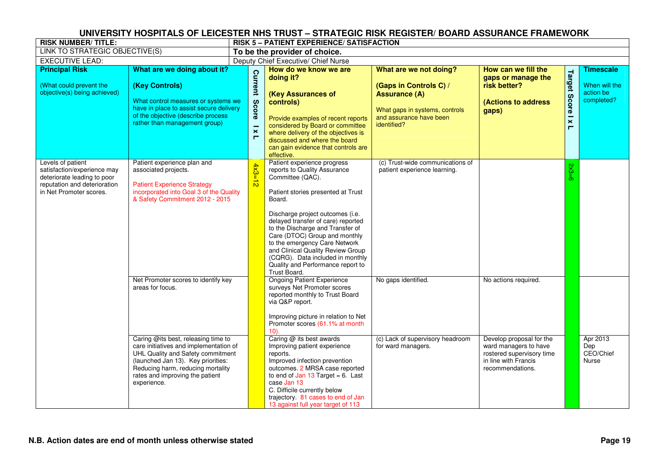| <b>RISK NUMBER/TITLE:</b>                                                                                                                  |                                                                                                                                                                                                        |                                                             | UNIVERSITY HUSPITALS OF LEICESTER NHS TRUST – STRATEGIC RISK REGISTER/ BUARD ASSURANCE FRAMEWORK.<br><b>RISK 5 - PATIENT EXPERIENCE/ SATISFACTION</b>                                                                                                                                                                                                                                                                                         |                                                                                                                                                      |                                                                                           |                                                  |                                                              |  |  |
|--------------------------------------------------------------------------------------------------------------------------------------------|--------------------------------------------------------------------------------------------------------------------------------------------------------------------------------------------------------|-------------------------------------------------------------|-----------------------------------------------------------------------------------------------------------------------------------------------------------------------------------------------------------------------------------------------------------------------------------------------------------------------------------------------------------------------------------------------------------------------------------------------|------------------------------------------------------------------------------------------------------------------------------------------------------|-------------------------------------------------------------------------------------------|--------------------------------------------------|--------------------------------------------------------------|--|--|
| LINK TO STRATEGIC OBJECTIVE(S)                                                                                                             |                                                                                                                                                                                                        |                                                             | To be the provider of choice.                                                                                                                                                                                                                                                                                                                                                                                                                 |                                                                                                                                                      |                                                                                           |                                                  |                                                              |  |  |
| <b>EXECUTIVE LEAD:</b>                                                                                                                     |                                                                                                                                                                                                        |                                                             | Deputy Chief Executive/ Chief Nurse                                                                                                                                                                                                                                                                                                                                                                                                           |                                                                                                                                                      |                                                                                           |                                                  |                                                              |  |  |
| <b>Principal Risk</b><br>(What could prevent the<br>objective(s) being achieved)                                                           | What are we doing about it?<br>(Key Controls)<br>What control measures or systems we<br>have in place to assist secure delivery<br>of the objective (describe process<br>rather than management group) | Current<br>Score<br>$\boldsymbol{\times}$<br>$\blacksquare$ | How do we know we are<br>doing it?<br>(Key Assurances of<br>controls)<br>Provide examples of recent reports<br>considered by Board or committee<br>where delivery of the objectives is<br>discussed and where the board<br>can gain evidence that controls are<br>effective.                                                                                                                                                                  | What are we not doing?<br>(Gaps in Controls C) /<br><b>Assurance (A)</b><br>What gaps in systems, controls<br>and assurance have been<br>identified? | How can we fill the<br>gaps or manage the<br>risk better?<br>(Actions to address<br>gaps) | Target<br><b>Score</b><br>$\mathbf{\times}$<br>Е | <b>Timescale</b><br>When will the<br>action be<br>completed? |  |  |
| Levels of patient<br>satisfaction/experience may<br>deteriorate leading to poor<br>reputation and deterioration<br>in Net Promoter scores. | Patient experience plan and<br>associated projects.<br><b>Patient Experience Strategy</b><br>incorporated into Goal 3 of the Quality<br>& Safety Commitment 2012 - 2015                                | $4x3=12$                                                    | Patient experience progress<br>reports to Quality Assurance<br>Committee (QAC).<br>Patient stories presented at Trust<br>Board.<br>Discharge project outcomes (i.e.<br>delayed transfer of care) reported<br>to the Discharge and Transfer of<br>Care (DTOC) Group and monthly<br>to the emergency Care Network<br>and Clinical Quality Review Group<br>(CQRG). Data included in monthly<br>Quality and Performance report to<br>Trust Board. | (c) Trust-wide communications of<br>patient experience learning.                                                                                     |                                                                                           | $2x3=6$                                          |                                                              |  |  |
|                                                                                                                                            | Net Promoter scores to identify key<br>areas for focus.<br>Caring @its best, releasing time to<br>care initiatives and implementation of                                                               |                                                             | <b>Ongoing Patient Experience</b><br>surveys Net Promoter scores<br>reported monthly to Trust Board<br>via Q&P report.<br>Improving picture in relation to Net<br>Promoter scores (61.1% at month<br>$10$ ).<br>Caring @ its best awards<br>Improving patient experience                                                                                                                                                                      | No gaps identified.<br>(c) Lack of supervisory headroom<br>for ward managers.                                                                        | No actions required.<br>Develop proposal for the<br>ward managers to have                 |                                                  | Apr 2013<br>Dep                                              |  |  |
|                                                                                                                                            | UHL Quality and Safety commitment<br>(launched Jan 13). Key priorities:<br>Reducing harm, reducing mortality<br>rates and improving the patient<br>experience.                                         |                                                             | reports.<br>Improved infection prevention<br>outcomes. 2 MRSA case reported<br>to end of Jan 13 Target = $6.$ Last<br>case Jan 13<br>C. Difficile currently below<br>trajectory. 81 cases to end of Jan<br>13 against full year target of 113                                                                                                                                                                                                 |                                                                                                                                                      | rostered supervisory time<br>in line with Francis<br>recommendations.                     |                                                  | CEO/Chief<br>Nurse                                           |  |  |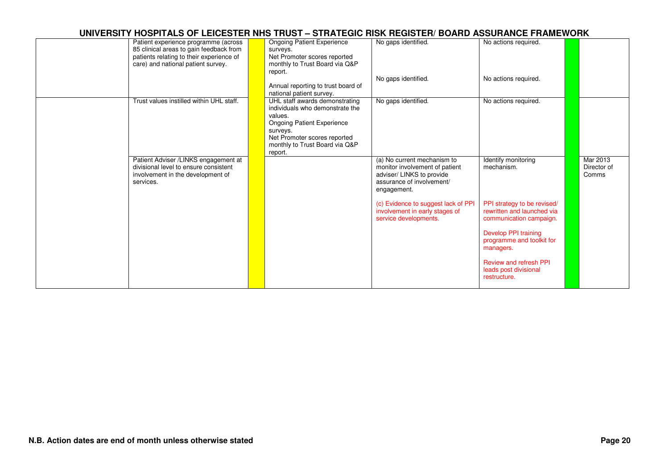| Patient experience programme (across<br>85 clinical areas to gain feedback from<br>patients relating to their experience of<br>care) and national patient survey. | <b>Ongoing Patient Experience</b><br>surveys.<br>Net Promoter scores reported<br>monthly to Trust Board via Q&P<br>report.<br>Annual reporting to trust board of<br>national patient survey.               | No gaps identified.<br>No gaps identified.                                                                                             | No actions required.<br>No actions required.                                         |                                  |
|-------------------------------------------------------------------------------------------------------------------------------------------------------------------|------------------------------------------------------------------------------------------------------------------------------------------------------------------------------------------------------------|----------------------------------------------------------------------------------------------------------------------------------------|--------------------------------------------------------------------------------------|----------------------------------|
| Trust values instilled within UHL staff.                                                                                                                          | UHL staff awards demonstrating<br>individuals who demonstrate the<br>values.<br><b>Ongoing Patient Experience</b><br>surveys.<br>Net Promoter scores reported<br>monthly to Trust Board via Q&P<br>report. | No gaps identified.                                                                                                                    | No actions required.                                                                 |                                  |
| Patient Adviser /LINKS engagement at<br>divisional level to ensure consistent<br>involvement in the development of<br>services.                                   |                                                                                                                                                                                                            | (a) No current mechanism to<br>monitor involvement of patient<br>adviser/ LINKS to provide<br>assurance of involvement/<br>engagement. | Identify monitoring<br>mechanism.                                                    | Mar 2013<br>Director of<br>Comms |
|                                                                                                                                                                   |                                                                                                                                                                                                            | (c) Evidence to suggest lack of PPI<br>involvement in early stages of<br>service developments.                                         | PPI strategy to be revised/<br>rewritten and launched via<br>communication campaign. |                                  |
|                                                                                                                                                                   |                                                                                                                                                                                                            |                                                                                                                                        | Develop PPI training<br>programme and toolkit for<br>managers.                       |                                  |
|                                                                                                                                                                   |                                                                                                                                                                                                            |                                                                                                                                        | <b>Review and refresh PPI</b><br>leads post divisional<br>restructure.               |                                  |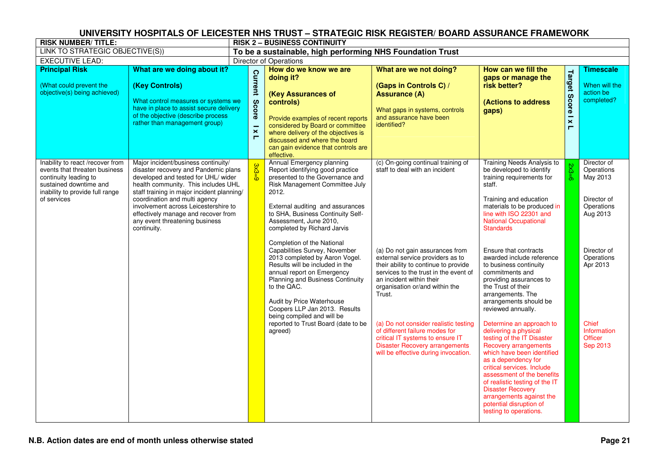| <b>RISK NUMBER/TITLE:</b>                                                                                                                                              |                                                                                                                                                                                                                                                                                                                                                                          |                                                             | <u>UINIVENDITT NUOPITALD UP LEIUEDTEN NNO TNUOT – OTNATEUIU NION NEUIDTEN/ DUAND AOOUNAIVUE FNAMEWUNN</u><br><b>RISK 2 - BUSINESS CONTINUITY</b>                                                                                                                                                              |                                                                                                                                                                                                                              |                                                                                                                                                                                                                                                                                                                                                                                 |                                               |                                                                                |
|------------------------------------------------------------------------------------------------------------------------------------------------------------------------|--------------------------------------------------------------------------------------------------------------------------------------------------------------------------------------------------------------------------------------------------------------------------------------------------------------------------------------------------------------------------|-------------------------------------------------------------|---------------------------------------------------------------------------------------------------------------------------------------------------------------------------------------------------------------------------------------------------------------------------------------------------------------|------------------------------------------------------------------------------------------------------------------------------------------------------------------------------------------------------------------------------|---------------------------------------------------------------------------------------------------------------------------------------------------------------------------------------------------------------------------------------------------------------------------------------------------------------------------------------------------------------------------------|-----------------------------------------------|--------------------------------------------------------------------------------|
| LINK TO STRATEGIC OBJECTIVE(S))                                                                                                                                        |                                                                                                                                                                                                                                                                                                                                                                          |                                                             | To be a sustainable, high performing NHS Foundation Trust                                                                                                                                                                                                                                                     |                                                                                                                                                                                                                              |                                                                                                                                                                                                                                                                                                                                                                                 |                                               |                                                                                |
| <b>EXECUTIVE LEAD:</b>                                                                                                                                                 |                                                                                                                                                                                                                                                                                                                                                                          |                                                             | <b>Director of Operations</b>                                                                                                                                                                                                                                                                                 |                                                                                                                                                                                                                              |                                                                                                                                                                                                                                                                                                                                                                                 |                                               |                                                                                |
| <b>Principal Risk</b>                                                                                                                                                  | What are we doing about it?                                                                                                                                                                                                                                                                                                                                              |                                                             | How do we know we are                                                                                                                                                                                                                                                                                         | What are we not doing?                                                                                                                                                                                                       | How can we fill the                                                                                                                                                                                                                                                                                                                                                             |                                               | <b>Timescale</b>                                                               |
| (What could prevent the<br>objective(s) being achieved)                                                                                                                | (Key Controls)<br>What control measures or systems we<br>have in place to assist secure delivery<br>of the objective (describe process<br>rather than management group)                                                                                                                                                                                                  | Current<br>Score<br>$\boldsymbol{\times}$<br>$\blacksquare$ | doing it?<br>(Key Assurances of<br>controls)<br>Provide examples of recent reports<br>considered by Board or committee<br>where delivery of the objectives is<br>discussed and where the board<br>can gain evidence that controls are<br>effective.                                                           | (Gaps in Controls C) /<br><b>Assurance (A)</b><br>What gaps in systems, controls<br>and assurance have been<br>identified?                                                                                                   | gaps or manage the<br>risk better?<br>(Actions to address<br>gaps)                                                                                                                                                                                                                                                                                                              | <b>Target</b><br><b>Score</b><br>$\mathsf{x}$ | When will the<br>action be<br>completed?                                       |
| Inability to react /recover from<br>events that threaten business<br>continuity leading to<br>sustained downtime and<br>inability to provide full range<br>of services | Major incident/business continuity/<br>disaster recovery and Pandemic plans<br>developed and tested for UHL/ wider<br>health community. This includes UHL<br>staff training in major incident planning/<br>coordination and multi agency<br>involvement across Leicestershire to<br>effectively manage and recover from<br>any event threatening business<br>continuity. | $\frac{3x3=9}{2}$                                           | Annual Emergency planning<br>Report identifying good practice<br>presented to the Governance and<br>Risk Management Committee July<br>2012.<br>External auditing and assurances<br>to SHA, Business Continuity Self-<br>Assessment, June 2010,<br>completed by Richard Jarvis                                 | (c) On-going continual training of<br>staff to deal with an incident                                                                                                                                                         | Training Needs Analysis to<br>be developed to identify<br>training requirements for<br>staff.<br>Training and education<br>materials to be produced in<br>line with ISO 22301 and<br><b>National Occupational</b><br><b>Standards</b>                                                                                                                                           | $2x3=6$                                       | Director of<br>Operations<br>May 2013<br>Director of<br>Operations<br>Aug 2013 |
|                                                                                                                                                                        |                                                                                                                                                                                                                                                                                                                                                                          |                                                             | Completion of the National<br>Capabilities Survey, November<br>2013 completed by Aaron Vogel.<br>Results will be included in the<br>annual report on Emergency<br>Planning and Business Continuity<br>to the QAC.<br>Audit by Price Waterhouse<br>Coopers LLP Jan 2013. Results<br>being compiled and will be | (a) Do not gain assurances from<br>external service providers as to<br>their ability to continue to provide<br>services to the trust in the event of<br>an incident within their<br>organisation or/and within the<br>Trust. | Ensure that contracts<br>awarded include reference<br>to business continuity<br>commitments and<br>providing assurances to<br>the Trust of their<br>arrangements. The<br>arrangements should be<br>reviewed annually.                                                                                                                                                           |                                               | Director of<br>Operations<br>Apr 2013                                          |
|                                                                                                                                                                        |                                                                                                                                                                                                                                                                                                                                                                          |                                                             | reported to Trust Board (date to be<br>agreed)                                                                                                                                                                                                                                                                | (a) Do not consider realistic testing<br>of different failure modes for<br>critical IT systems to ensure IT<br><b>Disaster Recovery arrangements</b><br>will be effective during invocation.                                 | Determine an approach to<br>delivering a physical<br>testing of the IT Disaster<br><b>Recovery arrangements</b><br>which have been identified<br>as a dependency for<br>critical services. Include<br>assessment of the benefits<br>of realistic testing of the IT<br><b>Disaster Recovery</b><br>arrangements against the<br>potential disruption of<br>testing to operations. |                                               | Chief<br>Information<br><b>Officer</b><br>Sep 2013                             |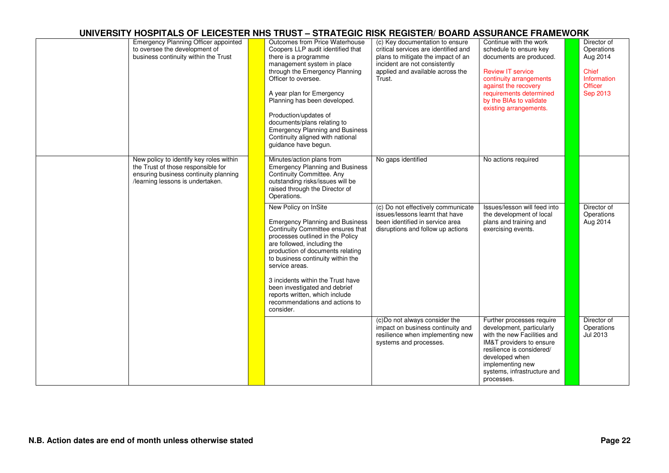| <b>Emergency Planning Officer appointed</b><br>to oversee the development of<br>business continuity within the Trust                                       | Outcomes from Price Waterhouse<br>Coopers LLP audit identified that<br>there is a programme<br>management system in place<br>through the Emergency Planning<br>Officer to oversee.<br>A year plan for Emergency<br>Planning has been developed.<br>Production/updates of<br>documents/plans relating to<br><b>Emergency Planning and Business</b><br>Continuity aligned with national<br>guidance have begun.            | (c) Key documentation to ensure<br>critical services are identified and<br>plans to mitigate the impact of an<br>incident are not consistently<br>applied and available across the<br>Trust. | Continue with the work<br>schedule to ensure key<br>documents are produced.<br><b>Review IT service</b><br>continuity arrangements<br>against the recovery<br>requirements determined<br>by the BIAs to validate<br>existing arrangements. | Director of<br>Operations<br>Aug 2014<br><b>Chief</b><br>Information<br><b>Officer</b><br>Sep 2013 |
|------------------------------------------------------------------------------------------------------------------------------------------------------------|--------------------------------------------------------------------------------------------------------------------------------------------------------------------------------------------------------------------------------------------------------------------------------------------------------------------------------------------------------------------------------------------------------------------------|----------------------------------------------------------------------------------------------------------------------------------------------------------------------------------------------|--------------------------------------------------------------------------------------------------------------------------------------------------------------------------------------------------------------------------------------------|----------------------------------------------------------------------------------------------------|
| New policy to identify key roles within<br>the Trust of those responsible for<br>ensuring business continuity planning<br>/learning lessons is undertaken. | Minutes/action plans from<br><b>Emergency Planning and Business</b><br>Continuity Committee. Any<br>outstanding risks/issues will be<br>raised through the Director of<br>Operations.                                                                                                                                                                                                                                    | No gaps identified                                                                                                                                                                           | No actions required                                                                                                                                                                                                                        |                                                                                                    |
|                                                                                                                                                            | New Policy on InSite<br><b>Emergency Planning and Business</b><br>Continuity Committee ensures that<br>processes outlined in the Policy<br>are followed, including the<br>production of documents relating<br>to business continuity within the<br>service areas.<br>3 incidents within the Trust have<br>been investigated and debrief<br>reports written, which include<br>recommendations and actions to<br>consider. | (c) Do not effectively communicate<br>issues/lessons learnt that have<br>been identified in service area<br>disruptions and follow up actions                                                | Issues/lesson will feed into<br>the development of local<br>plans and training and<br>exercising events.                                                                                                                                   | Director of<br>Operations<br>Aug 2014                                                              |
|                                                                                                                                                            |                                                                                                                                                                                                                                                                                                                                                                                                                          | (c)Do not always consider the<br>impact on business continuity and<br>resilience when implementing new<br>systems and processes.                                                             | Further processes require<br>development, particularly<br>with the new Facilities and<br>IM&T providers to ensure<br>resilience is considered/<br>developed when<br>implementing new<br>systems, infrastructure and<br>processes.          | Director of<br>Operations<br>Jul 2013                                                              |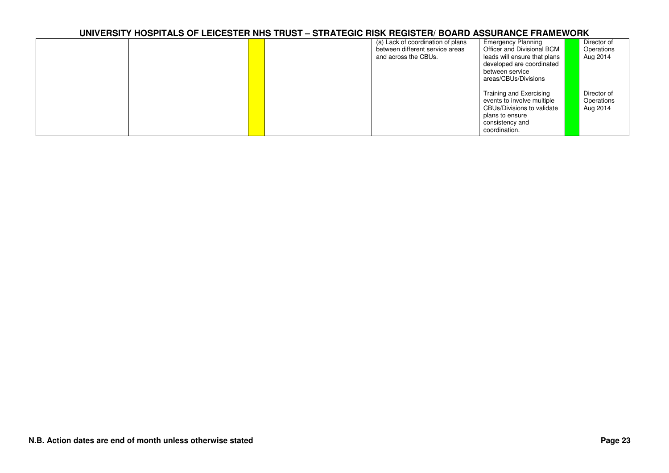|  |  | (a) Lack of coordination of plans | <b>Emergency Planning</b>    | Director of |
|--|--|-----------------------------------|------------------------------|-------------|
|  |  | between different service areas   | Officer and Divisional BCM   | Operations  |
|  |  | and across the CBUs.              | leads will ensure that plans | Aug 2014    |
|  |  |                                   | developed are coordinated    |             |
|  |  |                                   | between service              |             |
|  |  |                                   | areas/CBUs/Divisions         |             |
|  |  |                                   |                              |             |
|  |  |                                   | Training and Exercising      | Director of |
|  |  |                                   | events to involve multiple   | Operations  |
|  |  |                                   | CBUs/Divisions to validate   | Aug 2014    |
|  |  |                                   |                              |             |
|  |  |                                   | plans to ensure              |             |
|  |  |                                   | consistency and              |             |
|  |  |                                   | coordination.                |             |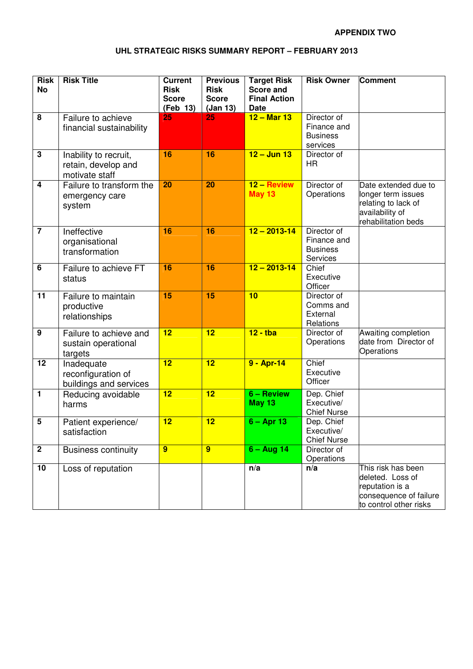#### **APPENDIX TWO**

#### **UHL STRATEGIC RISKS SUMMARY REPORT – FEBRUARY 2013**

| <b>Risk</b><br><b>No</b> | <b>Risk Title</b>                                              | <b>Current</b><br><b>Risk</b><br><b>Score</b><br>(Feb 13) | <b>Previous</b><br><b>Risk</b><br><b>Score</b><br>(Jan 13) | <b>Target Risk</b><br><b>Score and</b><br><b>Final Action</b><br><b>Date</b> | <b>Risk Owner</b>                                         | <b>Comment</b>                                                                                                |
|--------------------------|----------------------------------------------------------------|-----------------------------------------------------------|------------------------------------------------------------|------------------------------------------------------------------------------|-----------------------------------------------------------|---------------------------------------------------------------------------------------------------------------|
| 8                        | Failure to achieve<br>financial sustainability                 | 25                                                        | 25                                                         | $12 - $ Mar 13                                                               | Director of<br>Finance and<br><b>Business</b><br>services |                                                                                                               |
| $\mathbf{3}$             | Inability to recruit,<br>retain, develop and<br>motivate staff | 16                                                        | 16                                                         | $12 -$ Jun 13                                                                | Director of<br><b>HR</b>                                  |                                                                                                               |
| $\overline{\mathbf{4}}$  | Failure to transform the<br>emergency care<br>system           | 20                                                        | 20                                                         | 12 - Review<br><b>May 13</b>                                                 | Director of<br>Operations                                 | Date extended due to<br>longer term issues<br>relating to lack of<br>availability of<br>rehabilitation beds   |
| $\overline{7}$           | Ineffective<br>organisational<br>transformation                | 16                                                        | 16                                                         | $12 - 2013 - 14$                                                             | Director of<br>Finance and<br><b>Business</b><br>Services |                                                                                                               |
| $6\phantom{1}$           | Failure to achieve FT<br>status                                | 16                                                        | 16                                                         | $12 - 2013 - 14$                                                             | Chief<br>Executive<br>Officer                             |                                                                                                               |
| $\overline{11}$          | Failure to maintain<br>productive<br>relationships             | 15                                                        | 15                                                         | 10                                                                           | Director of<br>Comms and<br>External<br>Relations         |                                                                                                               |
| $\boldsymbol{9}$         | Failure to achieve and<br>sustain operational<br>targets       | $\overline{12}$                                           | $\overline{12}$                                            | $12 -$ tba                                                                   | Director of<br>Operations                                 | Awaiting completion<br>date from Director of<br>Operations                                                    |
| $\overline{12}$          | Inadequate<br>reconfiguration of<br>buildings and services     | 12                                                        | 12                                                         | 9 - Apr-14                                                                   | Chief<br>Executive<br>Officer                             |                                                                                                               |
| $\overline{1}$           | Reducing avoidable<br>harms                                    | 12                                                        | 12                                                         | 6 - Review<br><b>May 13</b>                                                  | Dep. Chief<br>Executive/<br><b>Chief Nurse</b>            |                                                                                                               |
| 5                        | Patient experience/<br>satisfaction                            | 12                                                        | 12                                                         | $6 -$ Apr 13                                                                 | Dep. Chief<br>Executive/<br><b>Chief Nurse</b>            |                                                                                                               |
| $\boldsymbol{2}$         | <b>Business continuity</b>                                     | $\overline{9}$                                            | 9                                                          | $6 - Aug 14$                                                                 | Director of<br>Operations                                 |                                                                                                               |
| 10                       | Loss of reputation                                             |                                                           |                                                            | n/a                                                                          | n/a                                                       | This risk has been<br>deleted. Loss of<br>reputation is a<br>consequence of failure<br>to control other risks |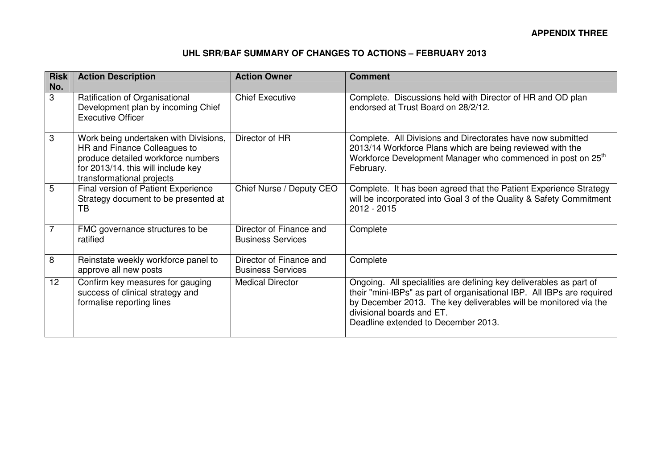#### **UHL SRR/BAF SUMMARY OF CHANGES TO ACTIONS – FEBRUARY 2013**

| <b>Risk</b><br>No. | <b>Action Description</b>                                                                                                                                                      | <b>Action Owner</b>                                 | <b>Comment</b>                                                                                                                                                                                                                                                                       |
|--------------------|--------------------------------------------------------------------------------------------------------------------------------------------------------------------------------|-----------------------------------------------------|--------------------------------------------------------------------------------------------------------------------------------------------------------------------------------------------------------------------------------------------------------------------------------------|
| 3                  | Ratification of Organisational<br>Development plan by incoming Chief<br><b>Executive Officer</b>                                                                               | <b>Chief Executive</b>                              | Complete. Discussions held with Director of HR and OD plan<br>endorsed at Trust Board on 28/2/12.                                                                                                                                                                                    |
| 3                  | Work being undertaken with Divisions,<br>HR and Finance Colleagues to<br>produce detailed workforce numbers<br>for 2013/14. this will include key<br>transformational projects | Director of HR                                      | Complete. All Divisions and Directorates have now submitted<br>2013/14 Workforce Plans which are being reviewed with the<br>Workforce Development Manager who commenced in post on 25 <sup>th</sup><br>February.                                                                     |
| 5                  | Final version of Patient Experience<br>Strategy document to be presented at<br>ТB                                                                                              | Chief Nurse / Deputy CEO                            | Complete. It has been agreed that the Patient Experience Strategy<br>will be incorporated into Goal 3 of the Quality & Safety Commitment<br>2012 - 2015                                                                                                                              |
|                    | FMC governance structures to be<br>ratified                                                                                                                                    | Director of Finance and<br><b>Business Services</b> | Complete                                                                                                                                                                                                                                                                             |
| 8                  | Reinstate weekly workforce panel to<br>approve all new posts                                                                                                                   | Director of Finance and<br><b>Business Services</b> | Complete                                                                                                                                                                                                                                                                             |
| 12                 | Confirm key measures for gauging<br>success of clinical strategy and<br>formalise reporting lines                                                                              | <b>Medical Director</b>                             | Ongoing. All specialities are defining key deliverables as part of<br>their "mini-IBPs" as part of organisational IBP. All IBPs are required<br>by December 2013. The key deliverables will be monitored via the<br>divisional boards and ET.<br>Deadline extended to December 2013. |